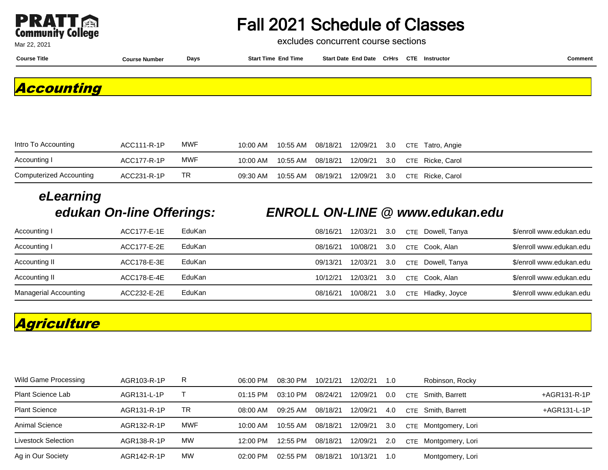

Mar 22, 2021

# Fall 2021 Schedule of Classes

excludes concurrent course sections

**Course Title Course Number Days Start Time End Time Start Date End Date CrHrs Instructor Comment CTE**

**Accounting**

| Intro To Accounting     | ACC111-R-1P | <b>MWF</b> | 10:00 AM | 10:55 AM | 08/18/21 |  | 12/09/21 3.0 CTE Tatro, Angie                        |
|-------------------------|-------------|------------|----------|----------|----------|--|------------------------------------------------------|
| Accounting I            | ACC177-R-1P | <b>MWF</b> | 10:00 AM |          |          |  | 10:55 AM  08/18/21  12/09/21  3.0  CTE  Ricke, Carol |
| Computerized Accounting | ACC231-R-1P | TR.        | 09:30 AM | 10:55 AM | 08/19/21 |  | 12/09/21 3.0 CTE Ricke Carol                         |

# **eLearning**

#### **edukan On-line Offerings: ENROLL ON-LINE @ www.edukan.edu**

| Accounting I          | ACC177-E-1E | EduKan | 08/16/21 | 12/03/21 | 3.0 | CTE Dowell, Tanya | \$/enroll www.edukan.edu |
|-----------------------|-------------|--------|----------|----------|-----|-------------------|--------------------------|
| Accounting I          | ACC177-E-2E | EduKan | 08/16/21 | 10/08/21 | 3.0 | CTE Cook, Alan    | \$/enroll www.edukan.edu |
| Accounting II         | ACC178-E-3E | EduKan | 09/13/21 | 12/03/21 | 3.0 | CTE Dowell, Tanya | \$/enroll www.edukan.edu |
| Accounting II         | ACC178-E-4E | EduKan | 10/12/21 | 12/03/21 | 3.0 | CTE Cook, Alan    | \$/enroll www.edukan.edu |
| Managerial Accounting | ACC232-E-2E | EduKan | 08/16/21 | 10/08/21 | 3.0 | CTE Hladky, Joyce | \$/enroll www.edukan.edu |

## **Agriculture**

| Wild Game Processing | AGR103-R-1P | R          | 06:00 PM   | 08:30 PM | 10/21/21 | 12/02/21 | 1.0 |            | Robinson, Rocky      |              |
|----------------------|-------------|------------|------------|----------|----------|----------|-----|------------|----------------------|--------------|
| Plant Science Lab    | AGR131-L-1P |            | 01:15 PM   | 03:10 PM | 08/24/21 | 12/09/21 | 0.0 | <b>CTE</b> | Smith. Barrett       | +AGR131-R-1P |
| <b>Plant Science</b> | AGR131-R-1P | TR         | 08:00 AM   | 09:25 AM | 08/18/21 | 12/09/21 | 4.0 | <b>CTF</b> | Smith. Barrett       | +AGR131-L-1P |
| Animal Science       | AGR132-R-1P | <b>MWF</b> | 10:00 AM   | 10:55 AM | 08/18/21 | 12/09/21 | 3.0 |            | CTE Montgomery, Lori |              |
| Livestock Selection  | AGR138-R-1P | МW         | 12:00 PM   | 12:55 PM | 08/18/21 | 12/09/21 | 2.0 | <b>CTE</b> | Montgomery, Lori     |              |
| Ag in Our Society    | AGR142-R-1P | МW         | $02:00$ PM | 02:55 PM | 08/18/21 | 10/13/21 | 1.O |            | Montgomery, Lori     |              |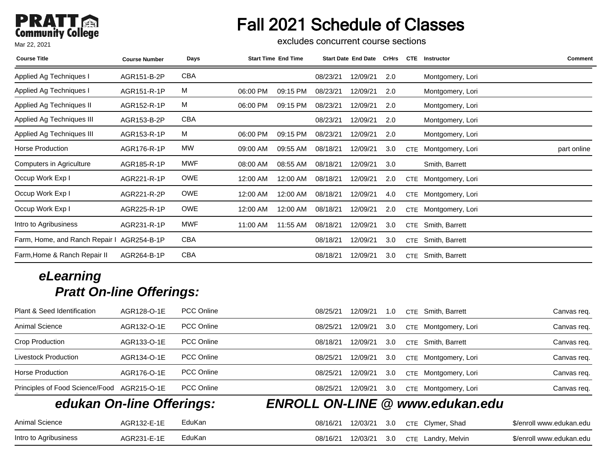# Fall 2021 Schedule of Classes

excludes concurrent course sections

| <b>Course Title</b>            | <b>Course Number</b> | Days       | <b>Start Time End Time</b> |          | <b>Start Date End Date</b> | <b>CrHrs</b> | <b>CTE</b> | <b>Instructor</b> | <b>Comment</b> |
|--------------------------------|----------------------|------------|----------------------------|----------|----------------------------|--------------|------------|-------------------|----------------|
| Applied Ag Techniques I        | AGR151-B-2P          | <b>CBA</b> |                            | 08/23/21 | 12/09/21                   | 2.0          |            | Montgomery, Lori  |                |
| Applied Ag Techniques I        | AGR151-R-1P          | M          | 06:00 PM<br>09:15 PM       | 08/23/21 | 12/09/21                   | 2.0          |            | Montgomery, Lori  |                |
| Applied Ag Techniques II       | AGR152-R-1P          | M          | 06:00 PM<br>09:15 PM       | 08/23/21 | 12/09/21                   | 2.0          |            | Montgomery, Lori  |                |
| Applied Ag Techniques III      | AGR153-B-2P          | CBA        |                            | 08/23/21 | 12/09/21                   | 2.0          |            | Montgomery, Lori  |                |
| Applied Ag Techniques III      | AGR153-R-1P          | M          | 06:00 PM<br>09:15 PM       | 08/23/21 | 12/09/21                   | 2.0          |            | Montgomery, Lori  |                |
| <b>Horse Production</b>        | AGR176-R-1P          | MW         | 09:00 AM<br>09:55 AM       | 08/18/21 | 12/09/21                   | 3.0          | <b>CTE</b> | Montgomery, Lori  | part online    |
| Computers in Agriculture       | AGR185-R-1P          | MWF        | 08:55 AM<br>08:00 AM       | 08/18/21 | 12/09/21                   | 3.0          |            | Smith, Barrett    |                |
| Occup Work Exp I               | AGR221-R-1P          | OWE        | 12:00 AM<br>12:00 AM       | 08/18/21 | 12/09/21                   | 2.0          | <b>CTE</b> | Montgomery, Lori  |                |
| Occup Work Exp I               | AGR221-R-2P          | <b>OWE</b> | 12:00 AM<br>12:00 AM       | 08/18/21 | 12/09/21                   | 4.0          | <b>CTE</b> | Montgomery, Lori  |                |
| Occup Work Exp I               | AGR225-R-1P          | <b>OWE</b> | 12:00 AM<br>12:00 AM       | 08/18/21 | 12/09/21                   | 2.0          | <b>CTE</b> | Montgomery, Lori  |                |
| Intro to Agribusiness          | AGR231-R-1P          | <b>MWF</b> | 11:55 AM<br>11:00 AM       | 08/18/21 | 12/09/21                   | 3.0          | <b>CTE</b> | Smith, Barrett    |                |
| Farm, Home, and Ranch Repair I | AGR254-B-1P          | CBA        |                            | 08/18/21 | 12/09/21                   | 3.0          | <b>CTE</b> | Smith, Barrett    |                |
| Farm, Home & Ranch Repair II   | AGR264-B-1P          | <b>CBA</b> |                            | 08/18/21 | 12/09/21                   | 3.0          | <b>CTE</b> | Smith, Barrett    |                |

| Plant & Seed Identification     | AGR128-O-1E | <b>PCC Online</b> | 12/09/21<br>08/25/21<br>Smith, Barrett<br><b>CTE</b><br>1.0   | Canvas req.              |
|---------------------------------|-------------|-------------------|---------------------------------------------------------------|--------------------------|
| Animal Science                  | AGR132-O-1E | <b>PCC Online</b> | 12/09/21<br>3.0<br>Montgomery, Lori<br>08/25/21<br><b>CTE</b> | Canvas req.              |
| Crop Production                 | AGR133-O-1E | <b>PCC Online</b> | 12/09/21<br>Smith, Barrett<br>08/18/21<br>3.0<br><b>CTE</b>   | Canvas reg.              |
| Livestock Production            | AGR134-O-1E | <b>PCC Online</b> | 3.0<br>08/25/21<br>12/09/21<br>Montgomery, Lori<br><b>CTE</b> | Canvas req.              |
| Horse Production                | AGR176-O-1E | <b>PCC Online</b> | 12/09/21<br>3.0<br>08/25/21<br>Montgomery, Lori<br><b>CTE</b> | Canvas reg.              |
| Principles of Food Science/Food | AGR215-O-1E | PCC Online        | 12/09/21<br>3.0<br>08/25/21<br>Montgomery, Lori<br><b>CTE</b> | Canvas req.              |
| edukan On-line Offerings:       |             |                   | <b>ENROLL ON-LINE @ www.edukan.edu</b>                        |                          |
| Animal Science                  | AGR132-E-1E | EduKan            | CTE Clymer, Shad<br>12/03/21<br>08/16/21<br>3.0               | \$/enroll www.edukan.edu |
| Intro to Agribusiness           | AGR231-E-1E | EduKan            | 3.0<br>08/16/21<br>12/03/21<br>Landry, Melvin<br><b>CTE</b>   | \$/enroll www.edukan.edu |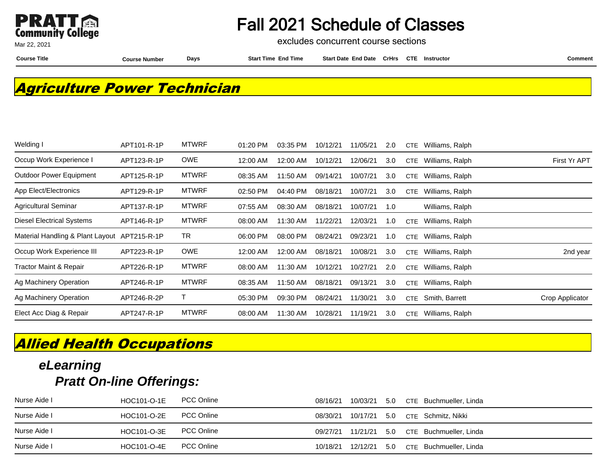

excludes concurrent course sections

Mar 22, 2021

**Course Title Course Number Days Start Time End Time Start Date End Date CrHrs Instructor Comment CTE**

### **Agriculture Power Technician**

| Welding I                        | APT101-R-1P | <b>MTWRF</b> | 01:20 PM | 03:35 PM | 10/12/21 | 11/05/21 | 2.0 | <b>CTE</b> | Williams, Ralph |                 |
|----------------------------------|-------------|--------------|----------|----------|----------|----------|-----|------------|-----------------|-----------------|
| Occup Work Experience I          | APT123-R-1P | <b>OWE</b>   | 12:00 AM | 12:00 AM | 10/12/21 | 12/06/21 | 3.0 | <b>CTE</b> | Williams, Ralph | First Yr APT    |
| <b>Outdoor Power Equipment</b>   | APT125-R-1P | <b>MTWRF</b> | 08:35 AM | 11:50 AM | 09/14/21 | 10/07/21 | 3.0 | <b>CTE</b> | Williams, Ralph |                 |
| App Elect/Electronics            | APT129-R-1P | <b>MTWRF</b> | 02:50 PM | 04:40 PM | 08/18/21 | 10/07/21 | 3.0 | CTE        | Williams, Ralph |                 |
| <b>Agricultural Seminar</b>      | APT137-R-1P | <b>MTWRF</b> | 07:55 AM | 08:30 AM | 08/18/21 | 10/07/21 | 1.0 |            | Williams, Ralph |                 |
| <b>Diesel Electrical Systems</b> | APT146-R-1P | <b>MTWRF</b> | 08:00 AM | 11:30 AM | 11/22/21 | 12/03/21 | 1.0 | CTE        | Williams, Ralph |                 |
| Material Handling & Plant Layout | APT215-R-1P | TR           | 06:00 PM | 08:00 PM | 08/24/21 | 09/23/21 | 1.0 | CTE        | Williams, Ralph |                 |
| Occup Work Experience III        | APT223-R-1P | <b>OWE</b>   | 12:00 AM | 12:00 AM | 08/18/21 | 10/08/21 | 3.0 | <b>CTE</b> | Williams, Ralph | 2nd year        |
| Tractor Maint & Repair           | APT226-R-1P | <b>MTWRF</b> | 08:00 AM | 11:30 AM | 10/12/21 | 10/27/21 | 2.0 | <b>CTE</b> | Williams, Ralph |                 |
| Ag Machinery Operation           | APT246-R-1P | <b>MTWRF</b> | 08:35 AM | 11:50 AM | 08/18/21 | 09/13/21 | 3.0 | CTE        | Williams, Ralph |                 |
| Ag Machinery Operation           | APT246-R-2P |              | 05:30 PM | 09:30 PM | 08/24/21 | 11/30/21 | 3.0 | CTE        | Smith, Barrett  | Crop Applicator |
| Elect Acc Diag & Repair          | APT247-R-1P | <b>MTWRF</b> | 08:00 AM | 11:30 AM | 10/28/21 | 11/19/21 | 3.0 | CTE        | Williams, Ralph |                 |

## **Allied Health Occupations**

| Nurse Aide I | HOC101-O-1E | <b>PCC Online</b> | 08/16/21          | 10/03/21 |  | 5.0 CTE Buchmueller, Linda |
|--------------|-------------|-------------------|-------------------|----------|--|----------------------------|
| Nurse Aide I | HOC101-O-2E | <b>PCC Online</b> | 08/30/21 10/17/21 |          |  | 5.0 CTE Schmitz, Nikki     |
| Nurse Aide I | HOC101-O-3E | <b>PCC Online</b> | 09/27/21          | 11/21/21 |  | 5.0 CTE Buchmueller, Linda |
| Nurse Aide I | HOC101-O-4E | <b>PCC Online</b> | 10/18/21          | 12/12/21 |  | 5.0 CTE Buchmueller, Linda |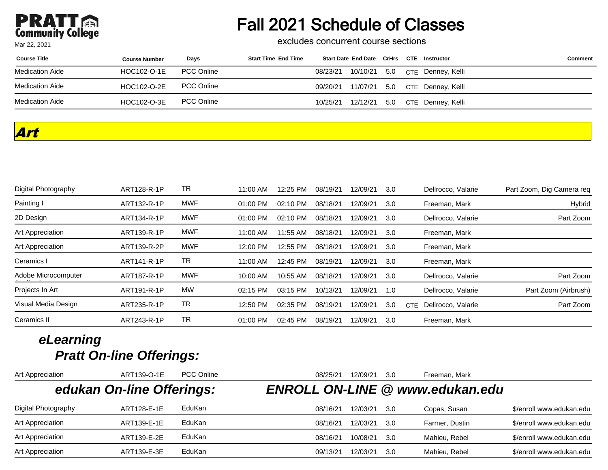# Fall 2021 Schedule of Classes

excludes concurrent course sections

| <b>Course Title</b> | <b>Course Number</b> | Days              | <b>Start Time End Time</b> | Start Date End Date CrHrs CTE Instructor |  |                                         | Comment |
|---------------------|----------------------|-------------------|----------------------------|------------------------------------------|--|-----------------------------------------|---------|
| Medication Aide     | HOC102-O-1E          | <b>PCC Online</b> |                            |                                          |  | 08/23/21 10/10/21 5.0 CTE Denney, Kelli |         |
| Medication Aide     | HOC102-O-2E          | <b>PCC Online</b> |                            |                                          |  | 09/20/21 11/07/21 5.0 CTE Denney, Kelli |         |
| Medication Aide     | HOC102-O-3E          | <b>PCC Online</b> |                            |                                          |  | 10/25/21 12/12/21 5.0 CTE Denney, Kelli |         |

#### **Art**

| Digital Photography | ART128-R-1P | TR         | 11:00 AM   | 12:25 PM | 08/19/21 | 12/09/21 | 3.0 |     | Dellrocco, Valarie | Part Zoom, Dig Camera reg |
|---------------------|-------------|------------|------------|----------|----------|----------|-----|-----|--------------------|---------------------------|
| Painting I          | ART132-R-1P | MWF        | $01:00$ PM | 02:10 PM | 08/18/21 | 12/09/21 | 3.0 |     | Freeman, Mark      | Hybrid                    |
| 2D Design           | ART134-R-1P | <b>MWF</b> | 01:00 PM   | 02:10 PM | 08/18/21 | 12/09/21 | 3.0 |     | Dellrocco, Valarie | Part Zoom                 |
| Art Appreciation    | ART139-R-1P | <b>MWF</b> | 11:00 AM   | 11:55 AM | 08/18/21 | 12/09/21 | 3.0 |     | Freeman, Mark      |                           |
| Art Appreciation    | ART139-R-2P | <b>MWF</b> | 12:00 PM   | 12:55 PM | 08/18/21 | 12/09/21 | 3.0 |     | Freeman, Mark      |                           |
| Ceramics I          | ART141-R-1P | TR         | 11:00 AM   | 12:45 PM | 08/19/21 | 12/09/21 | 3.0 |     | Freeman, Mark      |                           |
| Adobe Microcomputer | ART187-R-1P | MWF        | 10:00 AM   | 10:55 AM | 08/18/21 | 12/09/21 | 3.0 |     | Dellrocco, Valarie | Part Zoom                 |
| Projects In Art     | ART191-R-1P | <b>MW</b>  | 02:15 PM   | 03:15 PM | 10/13/21 | 12/09/21 | 1.0 |     | Dellrocco, Valarie | Part Zoom (Airbrush)      |
| Visual Media Design | ART235-R-1P | TR         | 12:50 PM   | 02:35 PM | 08/19/21 | 12/09/21 | 3.0 | CTE | Dellrocco, Valarie | Part Zoom                 |
| Ceramics II         | ART243-R-1P | TR         | 01:00 PM   | 02:45 PM | 08/19/21 | 12/09/21 | 3.0 |     | Freeman, Mark      |                           |

| Art Appreciation    | ART139-O-1E               | <b>PCC Online</b> | 08/25/21 | 12/09/21 | 3.0  | Freeman, Mark                          |                          |
|---------------------|---------------------------|-------------------|----------|----------|------|----------------------------------------|--------------------------|
|                     | edukan On-line Offerings: |                   |          |          |      | <b>ENROLL ON-LINE @ www.edukan.edu</b> |                          |
| Digital Photography | ART128-E-1E               | EduKan            | 08/16/21 | 12/03/21 | 3.0  | Copas, Susan                           | \$/enroll www.edukan.edu |
| Art Appreciation    | ART139-E-1E               | EduKan            | 08/16/21 | 12/03/21 | -3.0 | Farmer, Dustin                         | \$/enroll www.edukan.edu |
| Art Appreciation    | ART139-E-2E               | EduKan            | 08/16/21 | 10/08/21 | .3.O | Mahieu, Rebel                          | \$/enroll www.edukan.edu |
| Art Appreciation    | ART139-E-3E               | EduKan            | 09/13/21 | 12/03/21 | 3.0  | Mahieu, Rebel                          | \$/enroll www.edukan.edu |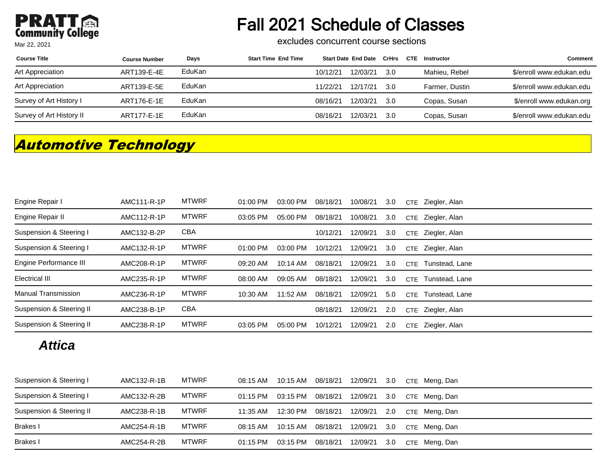# Fall 2021 Schedule of Classes

excludes concurrent course sections

| <b>Course Title</b>      | <b>Course Number</b> | Days   | <b>Start Time End Time</b> |          | Start Date End Date CrHrs |      | CTE | Instructor     | <b>Comment</b>           |
|--------------------------|----------------------|--------|----------------------------|----------|---------------------------|------|-----|----------------|--------------------------|
| Art Appreciation         | ART139-E-4E          | EduKan |                            | 10/12/21 | 12/03/21                  | -3.0 |     | Mahieu, Rebel  | \$/enroll www.edukan.edu |
| Art Appreciation         | ART139-E-5E          | EduKan |                            | 11/22/21 | 12/17/21                  | -3.0 |     | Farmer, Dustin | \$/enroll www.edukan.edu |
| Survey of Art History I  | ART176-E-1E          | EduKan |                            | 08/16/21 | 12/03/21                  | -3.0 |     | Copas, Susan   | \$/enroll www.edukan.org |
| Survey of Art History II | ART177-E-1E          | EduKan |                            | 08/16/21 | 12/03/21                  | 3.0  |     | Copas, Susan   | \$/enroll www.edukan.edu |

## **Automotive Technology**

| Engine Repair I          | AMC111-R-1P | <b>MTWRF</b> | 01:00 PM   | 03:00 PM | 08/18/21 | 10/08/21 | 3.0 | CTE        | Ziegler, Alan  |
|--------------------------|-------------|--------------|------------|----------|----------|----------|-----|------------|----------------|
| Engine Repair II         | AMC112-R-1P | <b>MTWRF</b> | 03:05 PM   | 05:00 PM | 08/18/21 | 10/08/21 | 3.0 | <b>CTE</b> | Ziegler, Alan  |
| Suspension & Steering I  | AMC132-B-2P | <b>CBA</b>   |            |          | 10/12/21 | 12/09/21 | 3.0 | CTE        | Ziegler, Alan  |
| Suspension & Steering I  | AMC132-R-1P | <b>MTWRF</b> | $01:00$ PM | 03:00 PM | 10/12/21 | 12/09/21 | 3.0 | CTE        | Ziegler, Alan  |
| Engine Performance III   | AMC208-R-1P | <b>MTWRF</b> | 09:20 AM   | 10:14 AM | 08/18/21 | 12/09/21 | 3.0 | <b>CTE</b> | Tunstead, Lane |
| <b>Electrical III</b>    | AMC235-R-1P | <b>MTWRF</b> | 08:00 AM   | 09:05 AM | 08/18/21 | 12/09/21 | 3.0 | <b>CTE</b> | Tunstead, Lane |
| Manual Transmission      | AMC236-R-1P | <b>MTWRF</b> | 10:30 AM   | 11:52 AM | 08/18/21 | 12/09/21 | 5.0 | CTE        | Tunstead, Lane |
| Suspension & Steering II | AMC238-B-1P | <b>CBA</b>   |            |          | 08/18/21 | 12/09/21 | 2.0 | <b>CTE</b> | Ziegler, Alan  |
| Suspension & Steering II | AMC238-R-1P | <b>MTWRF</b> | 03:05 PM   | 05:00 PM | 10/12/21 | 12/09/21 | 2.0 | <b>CTE</b> | Ziegler, Alan  |

#### **Attica**

| Suspension & Steering I  | AMC132-R-1B | MTWRF        | 08:15 AM | 10:15 AM | 08/18/21 | 12/09/21 | 3.0 | CTE Meng, Dan |
|--------------------------|-------------|--------------|----------|----------|----------|----------|-----|---------------|
| Suspension & Steering I  | AMC132-R-2B | <b>MTWRF</b> | 01:15 PM | 03:15 PM | 08/18/21 | 12/09/21 | 3.0 | CTE Meng, Dan |
| Suspension & Steering II | AMC238-R-1B | <b>MTWRF</b> | 11:35 AM | 12:30 PM | 08/18/21 | 12/09/21 | 2.0 | CTE Meng, Dan |
| Brakes I                 | AMC254-R-1B | <b>MTWRF</b> | 08:15 AM | 10:15 AM | 08/18/21 | 12/09/21 | 3.0 | CTE Meng, Dan |
| Brakes I                 | AMC254-R-2B | <b>MTWRF</b> | 01:15 PM | 03:15 PM | 08/18/21 | 12/09/21 | 3.0 | CTE Meng, Dan |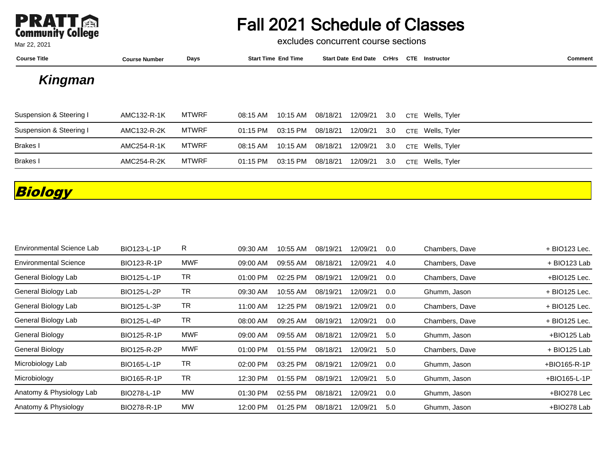

excludes concurrent course sections

| <b>Course Title</b>     | <b>Course Number</b> | Days         | <b>Start Time End Time</b> | <b>Start Date End Date CrHrs</b> |      | <b>CTE</b> | <b>Instructor</b> | <b>Comment</b> |
|-------------------------|----------------------|--------------|----------------------------|----------------------------------|------|------------|-------------------|----------------|
| Kingman                 |                      |              |                            |                                  |      |            |                   |                |
| Suspension & Steering I | AMC132-R-1K          | MTWRF        | 10:15 AM<br>08:15 AM       | 12/09/21<br>08/18/21             | -3.0 | <b>CTF</b> | Wells, Tyler      |                |
| Suspension & Steering I | AMC132-R-2K          | <b>MTWRF</b> | 01:15 PM<br>03:15 PM       | 12/09/21<br>08/18/21             | 3.0  |            | CTE Wells, Tyler  |                |
| Brakes I                | AMC254-R-1K          | <b>MTWRF</b> | 10:15 AM<br>08:15 AM       | 12/09/21<br>08/18/21             | 3.0  |            | CTE Wells, Tyler  |                |
| Brakes I                | AMC254-R-2K          | <b>MTWRF</b> | 01:15 PM<br>03:15 PM       | 12/09/21<br>08/18/21             | 3.0  | <b>CTE</b> | Wells, Tyler      |                |

## **Biology**

| <b>Environmental Science Lab</b> | BIO123-L-1P | R         | 09:30 AM | 10:55 AM | 08/19/21 | 12/09/21 | 0.0 | Chambers, Dave | + BIO123 Lec. |
|----------------------------------|-------------|-----------|----------|----------|----------|----------|-----|----------------|---------------|
| <b>Environmental Science</b>     | BIO123-R-1P | MWF       | 09:00 AM | 09:55 AM | 08/18/21 | 12/09/21 | 4.0 | Chambers, Dave | + BIO123 Lab  |
| General Biology Lab              | BIO125-L-1P | TR        | 01:00 PM | 02:25 PM | 08/19/21 | 12/09/21 | 0.0 | Chambers, Dave | +BIO125 Lec.  |
| General Biology Lab              | BIO125-L-2P | TR        | 09:30 AM | 10:55 AM | 08/19/21 | 12/09/21 | 0.0 | Ghumm, Jason   | + BIO125 Lec. |
| General Biology Lab              | BIO125-L-3P | <b>TR</b> | 11:00 AM | 12:25 PM | 08/19/21 | 12/09/21 | 0.0 | Chambers, Dave | + BIO125 Lec. |
| General Biology Lab              | BIO125-L-4P | TR        | 08:00 AM | 09:25 AM | 08/19/21 | 12/09/21 | 0.0 | Chambers, Dave | + BIO125 Lec. |
| General Biology                  | BIO125-R-1P | MWF       | 09:00 AM | 09:55 AM | 08/18/21 | 12/09/21 | 5.0 | Ghumm, Jason   | +BIO125 Lab   |
| General Biology                  | BIO125-R-2P | MWF       | 01:00 PM | 01:55 PM | 08/18/21 | 12/09/21 | 5.0 | Chambers, Dave | + BIO125 Lab  |
| Microbiology Lab                 | BIO165-L-1P | TR        | 02:00 PM | 03:25 PM | 08/19/21 | 12/09/21 | 0.0 | Ghumm, Jason   | +BIO165-R-1P  |
| Microbiology                     | BIO165-R-1P | TR        | 12:30 PM | 01:55 PM | 08/19/21 | 12/09/21 | 5.0 | Ghumm, Jason   | +BIO165-L-1P  |
| Anatomy & Physiology Lab         | BIO278-L-1P | MW        | 01:30 PM | 02:55 PM | 08/18/21 | 12/09/21 | 0.0 | Ghumm, Jason   | +BIO278 Lec   |
| Anatomy & Physiology             | BIO278-R-1P | <b>MW</b> | 12:00 PM | 01:25 PM | 08/18/21 | 12/09/21 | 5.0 | Ghumm, Jason   | +BIO278 Lab   |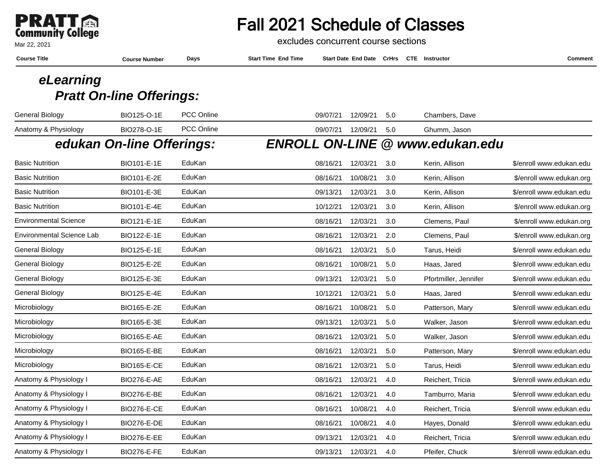

#### Mar 22, 2021

## Fall 2021 Schedule of Classes

excludes concurrent course sections

| <b>Course Title</b>              | <b>Course Number</b>            | Days              | <b>Start Time End Time</b> |          | <b>Start Date End Date CrHrs</b> |     | <b>CTE</b> Instructor                  | <b>Comment</b>           |
|----------------------------------|---------------------------------|-------------------|----------------------------|----------|----------------------------------|-----|----------------------------------------|--------------------------|
| eLearning                        |                                 |                   |                            |          |                                  |     |                                        |                          |
|                                  | <b>Pratt On-line Offerings:</b> |                   |                            |          |                                  |     |                                        |                          |
| <b>General Biology</b>           | BIO125-O-1E                     | <b>PCC Online</b> |                            | 09/07/21 | 12/09/21                         | 5.0 | Chambers, Dave                         |                          |
| Anatomy & Physiology             | BIO278-O-1E                     | PCC Online        |                            | 09/07/21 | 12/09/21                         | 5.0 | Ghumm, Jason                           |                          |
|                                  | edukan On-line Offerings:       |                   |                            |          |                                  |     | <b>ENROLL ON-LINE @ www.edukan.edu</b> |                          |
| <b>Basic Nutrition</b>           | BIO101-E-1E                     | EduKan            |                            | 08/16/21 | 12/03/21                         | 3.0 | Kerin, Allison                         | \$/enroll www.edukan.edu |
| <b>Basic Nutrition</b>           | BIO101-E-2E                     | EduKan            |                            | 08/16/21 | 10/08/21                         | 3.0 | Kerin, Allison                         | \$/enroll www.edukan.org |
| <b>Basic Nutrition</b>           | BIO101-E-3E                     | EduKan            |                            | 09/13/21 | 12/03/21                         | 3.0 | Kerin, Allison                         | \$/enroll www.edukan.edu |
| <b>Basic Nutrition</b>           | BIO101-E-4E                     | EduKan            |                            | 10/12/21 | 12/03/21                         | 3.0 | Kerin, Allison                         | \$/enroll www.edukan.org |
| <b>Environmental Science</b>     | BIO121-E-1E                     | EduKan            |                            | 08/16/21 | 12/03/21                         | 3.0 | Clemens, Paul                          | \$/enroll www.edukan.org |
| <b>Environmental Science Lab</b> | BIO122-E-1E                     | EduKan            |                            | 08/16/21 | 12/03/21                         | 2.0 | Clemens, Paul                          | \$/enroll www.edukan.org |
| <b>General Biology</b>           | BIO125-E-1E                     | EduKan            |                            | 08/16/21 | 12/03/21                         | 5.0 | Tarus, Heidi                           | \$/enroll www.edukan.edu |
| <b>General Biology</b>           | BIO125-E-2E                     | EduKan            |                            | 08/16/21 | 10/08/21                         | 5.0 | Haas, Jared                            | \$/enroll www.edukan.edu |
| General Biology                  | BIO125-E-3E                     | EduKan            |                            | 09/13/21 | 12/03/21                         | 5.0 | Pfortmiller, Jennifer                  | \$/enroll www.edukan.edu |
| <b>General Biology</b>           | BIO125-E-4E                     | EduKan            |                            | 10/12/21 | 12/03/21                         | 5.0 | Haas, Jared                            | \$/enroll www.edukan.edu |
| Microbiology                     | BIO165-E-2E                     | EduKan            |                            | 08/16/21 | 10/08/21                         | 5.0 | Patterson, Mary                        | \$/enroll www.edukan.edu |
| Microbiology                     | BIO165-E-3E                     | EduKan            |                            | 09/13/21 | 12/03/21                         | 5.0 | Walker, Jason                          | \$/enroll www.edukan.edu |
| Microbiology                     | <b>BIO165-E-AE</b>              | EduKan            |                            | 08/16/21 | 12/03/21                         | 5.0 | Walker, Jason                          | \$/enroll www.edukan.edu |
| Microbiology                     | BIO165-E-BE                     | EduKan            |                            | 08/16/21 | 12/03/21                         | 5.0 | Patterson, Mary                        | \$/enroll www.edukan.edu |
| Microbiology                     | <b>BIO165-E-CE</b>              | EduKan            |                            | 08/16/21 | 12/03/21                         | 5.0 | Tarus, Heidi                           | \$/enroll www.edukan.edu |
| Anatomy & Physiology I           | <b>BIO276-E-AE</b>              | EduKan            |                            | 08/16/21 | 12/03/21                         | 4.0 | Reichert, Tricia                       | \$/enroll www.edukan.edu |
| Anatomy & Physiology I           | <b>BIO276-E-BE</b>              | EduKan            |                            | 08/16/21 | 12/03/21                         | 4.0 | Tamburro, Maria                        | \$/enroll www.edukan.edu |
| Anatomy & Physiology I           | <b>BIO276-E-CE</b>              | EduKan            |                            | 08/16/21 | 10/08/21                         | 4.0 | Reichert, Tricia                       | \$/enroll www.edukan.edu |
| Anatomy & Physiology I           | <b>BIO276-E-DE</b>              | EduKan            |                            | 08/16/21 | 10/08/21                         | 4.0 | Hayes, Donald                          | \$/enroll www.edukan.edu |
| Anatomy & Physiology I           | <b>BIO276-E-EE</b>              | EduKan            |                            | 09/13/21 | 12/03/21                         | 4.0 | Reichert, Tricia                       | \$/enroll www.edukan.edu |
| Anatomy & Physiology I           | <b>BIO276-E-FE</b>              | EduKan            |                            | 09/13/21 | 12/03/21                         | 4.0 | Pfeifer, Chuck                         | \$/enroll www.edukan.edu |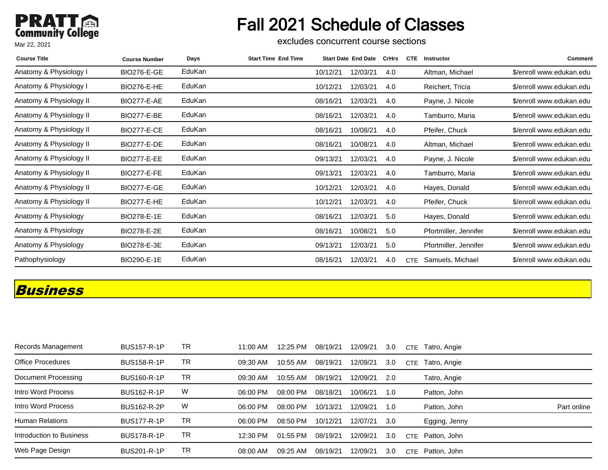## **PRATT** Mar 22, 2021

# Fall 2021 Schedule of Classes

excludes concurrent course sections

| <b>Course Title</b>     | <b>Course Number</b> | Days   | <b>Start Time End Time</b> |          | <b>Start Date End Date</b> | CrHrs | <b>CTE</b> | Instructor            | Comment                  |
|-------------------------|----------------------|--------|----------------------------|----------|----------------------------|-------|------------|-----------------------|--------------------------|
| Anatomy & Physiology I  | <b>BIO276-E-GE</b>   | EduKan |                            | 10/12/21 | 12/03/21                   | 4.0   |            | Altman, Michael       | \$/enroll www.edukan.edu |
| Anatomy & Physiology I  | <b>BIO276-E-HE</b>   | EduKan |                            | 10/12/21 | 12/03/21                   | 4.0   |            | Reichert, Tricia      | \$/enroll www.edukan.edu |
| Anatomy & Physiology II | <b>BIO277-E-AE</b>   | EduKan |                            | 08/16/21 | 12/03/21                   | 4.0   |            | Payne, J. Nicole      | \$/enroll www.edukan.edu |
| Anatomy & Physiology II | <b>BIO277-E-BE</b>   | EduKan |                            | 08/16/21 | 12/03/21                   | 4.0   |            | Tamburro, Maria       | \$/enroll www.edukan.edu |
| Anatomy & Physiology II | <b>BIO277-E-CE</b>   | EduKan |                            | 08/16/21 | 10/08/21                   | 4.0   |            | Pfeifer, Chuck        | \$/enroll www.edukan.edu |
| Anatomy & Physiology II | <b>BIO277-E-DE</b>   | EduKan |                            | 08/16/21 | 10/08/21                   | 4.0   |            | Altman, Michael       | \$/enroll www.edukan.edu |
| Anatomy & Physiology II | <b>BIO277-E-EE</b>   | EduKan |                            | 09/13/21 | 12/03/21                   | 4.0   |            | Payne, J. Nicole      | \$/enroll www.edukan.edu |
| Anatomy & Physiology II | <b>BIO277-E-FE</b>   | EduKan |                            | 09/13/21 | 12/03/21                   | 4.0   |            | Tamburro, Maria       | \$/enroll www.edukan.edu |
| Anatomy & Physiology II | <b>BIO277-E-GE</b>   | EduKan |                            | 10/12/21 | 12/03/21                   | 4.0   |            | Hayes, Donald         | \$/enroll www.edukan.edu |
| Anatomy & Physiology II | <b>BIO277-E-HE</b>   | EduKan |                            | 10/12/21 | 12/03/21                   | 4.0   |            | Pfeifer, Chuck        | \$/enroll www.edukan.edu |
| Anatomy & Physiology    | BIO278-E-1E          | EduKan |                            | 08/16/21 | 12/03/21                   | 5.0   |            | Hayes, Donald         | \$/enroll www.edukan.edu |
| Anatomy & Physiology    | BIO278-E-2E          | EduKan |                            | 08/16/21 | 10/08/21                   | 5.0   |            | Pfortmiller, Jennifer | \$/enroll www.edukan.edu |
| Anatomy & Physiology    | BIO278-E-3E          | EduKan |                            | 09/13/21 | 12/03/21                   | 5.0   |            | Pfortmiller, Jennifer | \$/enroll www.edukan.edu |
| Pathophysiology         | BIO290-E-1E          | EduKan |                            | 08/16/21 | 12/03/21                   | 4.0   | <b>CTE</b> | Samuels, Michael      | \$/enroll www.edukan.edu |

#### **Business**

| Records Management       | <b>BUS157-R-1P</b> | TR  | 11:00 AM | 12:25 PM | 08/19/21 | 12/09/21 | 3.0 | CTE.       | Tatro, Angie  |             |
|--------------------------|--------------------|-----|----------|----------|----------|----------|-----|------------|---------------|-------------|
| <b>Office Procedures</b> | <b>BUS158-R-1P</b> | TR. | 09:30 AM | 10:55 AM | 08/19/21 | 12/09/21 | 3.0 | <b>CTE</b> | Tatro, Angie  |             |
| Document Processing      | <b>BUS160-R-1P</b> | TR  | 09:30 AM | 10:55 AM | 08/19/21 | 12/09/21 | 2.0 |            | Tatro, Angie  |             |
| Intro Word Process       | <b>BUS162-R-1P</b> | W   | 06:00 PM | 08:00 PM | 08/18/21 | 10/06/21 | 1.0 |            | Patton, John  |             |
| Intro Word Process       | <b>BUS162-R-2P</b> | W   | 06:00 PM | 08:00 PM | 10/13/21 | 12/09/21 | 1.0 |            | Patton, John  | Part online |
| <b>Human Relations</b>   | <b>BUS177-R-1P</b> | TR  | 06:00 PM | 08:50 PM | 10/12/21 | 12/07/21 | 3.0 |            | Egging, Jenny |             |
| Introduction to Business | <b>BUS178-R-1P</b> | TR  | 12:30 PM | 01:55 PM | 08/19/21 | 12/09/21 | 3.0 | <b>CTF</b> | Patton, John  |             |
| Web Page Design          | <b>BUS201-R-1P</b> | TR. | 08:00 AM | 09:25 AM | 08/19/21 | 12/09/21 | 3.0 | <b>CTE</b> | Patton, John  |             |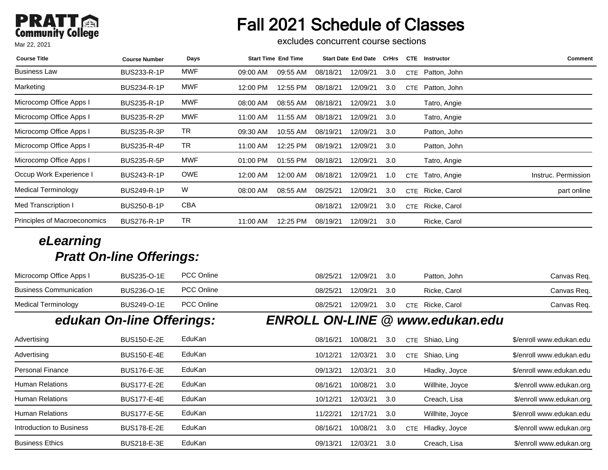# Fall 2021 Schedule of Classes

excludes concurrent course sections

| <b>Course Title</b>          | <b>Course Number</b> | Days       |          | <b>Start Time End Time</b> |          | <b>Start Date End Date</b> | CrHrs | <b>CTE</b> | <b>Instructor</b> | <b>Comment</b>      |
|------------------------------|----------------------|------------|----------|----------------------------|----------|----------------------------|-------|------------|-------------------|---------------------|
| <b>Business Law</b>          | <b>BUS233-R-1P</b>   | MWF        | 09:00 AM | 09:55 AM                   | 08/18/21 | 12/09/21                   | 3.0   | <b>CTE</b> | Patton, John      |                     |
| Marketing                    | <b>BUS234-R-1P</b>   | MWF        | 12:00 PM | 12:55 PM                   | 08/18/21 | 12/09/21                   | 3.0   | CTE        | Patton, John      |                     |
| Microcomp Office Apps I      | <b>BUS235-R-1P</b>   | MWF        | 08:00 AM | 08:55 AM                   | 08/18/21 | 12/09/21                   | 3.0   |            | Tatro, Angie      |                     |
| Microcomp Office Apps I      | <b>BUS235-R-2P</b>   | MWF        | 11:00 AM | 11:55 AM                   | 08/18/21 | 12/09/21                   | 3.0   |            | Tatro, Angie      |                     |
| Microcomp Office Apps I      | <b>BUS235-R-3P</b>   | TR         | 09:30 AM | 10:55 AM                   | 08/19/21 | 12/09/21                   | 3.0   |            | Patton, John      |                     |
| Microcomp Office Apps I      | <b>BUS235-R-4P</b>   | TR         | 11:00 AM | 12:25 PM                   | 08/19/21 | 12/09/21                   | 3.0   |            | Patton, John      |                     |
| Microcomp Office Apps I      | <b>BUS235-R-5P</b>   | MWF        | 01:00 PM | 01:55 PM                   | 08/18/21 | 12/09/21                   | 3.0   |            | Tatro, Angie      |                     |
| Occup Work Experience I      | <b>BUS243-R-1P</b>   | <b>OWE</b> | 12:00 AM | 12:00 AM                   | 08/18/21 | 12/09/21                   | 1.0   | CTE        | Tatro, Angie      | Instruc. Permission |
| Medical Terminology          | <b>BUS249-R-1P</b>   | W          | 08:00 AM | 08:55 AM                   | 08/25/21 | 12/09/21                   | 3.0   | CTE        | Ricke, Carol      | part online         |
| Med Transcription I          | <b>BUS250-B-1P</b>   | CBA        |          |                            | 08/18/21 | 12/09/21                   | 3.0   | CTE        | Ricke, Carol      |                     |
| Principles of Macroeconomics | <b>BUS276-R-1P</b>   | TR         | 11:00 AM | 12:25 PM                   | 08/19/21 | 12/09/21                   | 3.0   |            | Ricke, Carol      |                     |

| Advertising              | <b>BUS150-E-2E</b> | EduKan | 08/16/21 | 10/08/21 | 3.0 | CTE  | Shiao, Ling       | \$/enroll www.edukan.edu |
|--------------------------|--------------------|--------|----------|----------|-----|------|-------------------|--------------------------|
| Advertising              | <b>BUS150-E-4E</b> | EduKan | 10/12/21 | 12/03/21 | 3.0 | CTE. | Shiao, Ling       | \$/enroll www.edukan.edu |
| <b>Personal Finance</b>  | <b>BUS176-E-3E</b> | EduKan | 09/13/21 | 12/03/21 | 3.0 |      | Hladky, Joyce     | \$/enroll www.edukan.edu |
| <b>Human Relations</b>   | <b>BUS177-E-2E</b> | EduKan | 08/16/21 | 10/08/21 | 3.0 |      | Willhite, Joyce   | \$/enroll www.edukan.org |
| <b>Human Relations</b>   | <b>BUS177-E-4E</b> | EduKan | 10/12/21 | 12/03/21 | 3.0 |      | Creach, Lisa      | \$/enroll www.edukan.org |
| <b>Human Relations</b>   | <b>BUS177-E-5E</b> | EduKan | 11/22/21 | 12/17/21 | 3.0 |      | Willhite, Joyce   | \$/enroll www.edukan.edu |
| Introduction to Business | <b>BUS178-E-2E</b> | EduKan | 08/16/21 | 10/08/21 | 3.0 |      | CTE Hladky, Joyce | \$/enroll www.edukan.org |
| <b>Business Ethics</b>   | <b>BUS218-E-3E</b> | EduKan | 09/13/21 | 12/03/21 | 3.0 |      | Creach, Lisa      | \$/enroll www.edukan.org |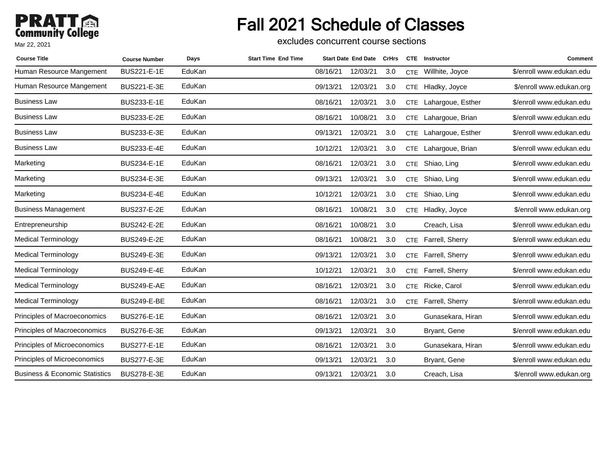# Fall 2021 Schedule of Classes

excludes concurrent course sections

| <b>Course Title</b>                       | <b>Course Number</b> | Days   | <b>Start Time End Time</b> |          | <b>Start Date End Date</b> | <b>CrHrs</b> |            | <b>CTE</b> Instructor | Comment                  |
|-------------------------------------------|----------------------|--------|----------------------------|----------|----------------------------|--------------|------------|-----------------------|--------------------------|
| Human Resource Mangement                  | <b>BUS221-E-1E</b>   | EduKan |                            | 08/16/21 | 12/03/21                   | 3.0          | <b>CTE</b> | Willhite, Joyce       | \$/enroll www.edukan.edu |
| Human Resource Mangement                  | BUS221-E-3E          | EduKan |                            | 09/13/21 | 12/03/21                   | 3.0          |            | CTE Hladky, Joyce     | \$/enroll www.edukan.org |
| <b>Business Law</b>                       | BUS233-E-1E          | EduKan |                            | 08/16/21 | 12/03/21                   | 3.0          |            | CTE Lahargoue, Esther | \$/enroll www.edukan.edu |
| <b>Business Law</b>                       | BUS233-E-2E          | EduKan |                            | 08/16/21 | 10/08/21                   | 3.0          |            | CTE Lahargoue, Brian  | \$/enroll www.edukan.edu |
| <b>Business Law</b>                       | BUS233-E-3E          | EduKan |                            | 09/13/21 | 12/03/21                   | 3.0          |            | CTE Lahargoue, Esther | \$/enroll www.edukan.edu |
| <b>Business Law</b>                       | BUS233-E-4E          | EduKan |                            | 10/12/21 | 12/03/21                   | 3.0          |            | CTE Lahargoue, Brian  | \$/enroll www.edukan.edu |
| Marketing                                 | BUS234-E-1E          | EduKan |                            | 08/16/21 | 12/03/21                   | 3.0          |            | CTE Shiao, Ling       | \$/enroll www.edukan.edu |
| Marketing                                 | BUS234-E-3E          | EduKan |                            | 09/13/21 | 12/03/21                   | 3.0          | <b>CTE</b> | Shiao, Ling           | \$/enroll www.edukan.edu |
| Marketing                                 | <b>BUS234-E-4E</b>   | EduKan |                            | 10/12/21 | 12/03/21                   | 3.0          | <b>CTE</b> | Shiao, Ling           | \$/enroll www.edukan.edu |
| <b>Business Management</b>                | <b>BUS237-E-2E</b>   | EduKan |                            | 08/16/21 | 10/08/21                   | 3.0          |            | CTE Hladky, Joyce     | \$/enroll www.edukan.org |
| Entrepreneurship                          | BUS242-E-2E          | EduKan |                            | 08/16/21 | 10/08/21                   | 3.0          |            | Creach, Lisa          | \$/enroll www.edukan.edu |
| <b>Medical Terminology</b>                | BUS249-E-2E          | EduKan |                            | 08/16/21 | 10/08/21                   | 3.0          | <b>CTE</b> | Farrell, Sherry       | \$/enroll www.edukan.edu |
| <b>Medical Terminology</b>                | BUS249-E-3E          | EduKan |                            | 09/13/21 | 12/03/21                   | 3.0          |            | CTE Farrell, Sherry   | \$/enroll www.edukan.edu |
| <b>Medical Terminology</b>                | <b>BUS249-E-4E</b>   | EduKan |                            | 10/12/21 | 12/03/21                   | 3.0          | <b>CTE</b> | Farrell, Sherry       | \$/enroll www.edukan.edu |
| <b>Medical Terminology</b>                | <b>BUS249-E-AE</b>   | EduKan |                            | 08/16/21 | 12/03/21                   | 3.0          |            | CTE Ricke, Carol      | \$/enroll www.edukan.edu |
| Medical Terminology                       | <b>BUS249-E-BE</b>   | EduKan |                            | 08/16/21 | 12/03/21                   | 3.0          | <b>CTE</b> | Farrell, Sherry       | \$/enroll www.edukan.edu |
| Principles of Macroeconomics              | <b>BUS276-E-1E</b>   | EduKan |                            | 08/16/21 | 12/03/21                   | 3.0          |            | Gunasekara, Hiran     | \$/enroll www.edukan.edu |
| Principles of Macroeconomics              | <b>BUS276-E-3E</b>   | EduKan |                            | 09/13/21 | 12/03/21                   | 3.0          |            | Bryant, Gene          | \$/enroll www.edukan.edu |
| Principles of Microeconomics              | <b>BUS277-E-1E</b>   | EduKan |                            | 08/16/21 | 12/03/21                   | 3.0          |            | Gunasekara, Hiran     | \$/enroll www.edukan.edu |
| Principles of Microeconomics              | <b>BUS277-E-3E</b>   | EduKan |                            | 09/13/21 | 12/03/21                   | 3.0          |            | Bryant, Gene          | \$/enroll www.edukan.edu |
| <b>Business &amp; Economic Statistics</b> | <b>BUS278-E-3E</b>   | EduKan |                            | 09/13/21 | 12/03/21                   | 3.0          |            | Creach, Lisa          | \$/enroll www.edukan.org |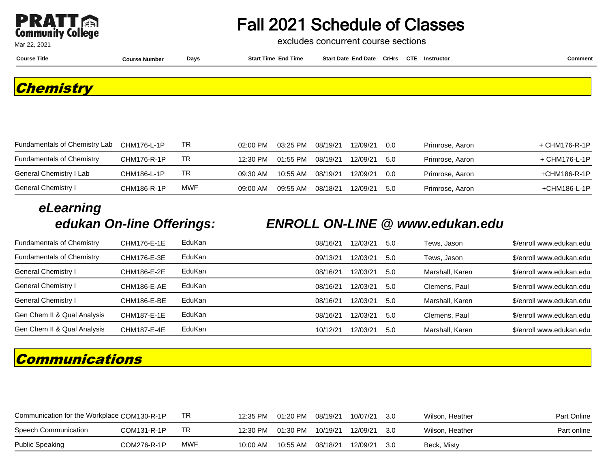

excludes concurrent course sections

**Course Title Course Number Days Start Time End Time Start Date End Date CrHrs Instructor Comment CTE**

**Chemistry**

| Fundamentals of Chemistry Lab    | CHM176-L-1P | TR  | $02:00$ PM | 03:25 PM | 08/19/21 | 12/09/21 | .0 O | Primrose, Aaron | + CHM176-R-1P |
|----------------------------------|-------------|-----|------------|----------|----------|----------|------|-----------------|---------------|
| <b>Fundamentals of Chemistry</b> | CHM176-R-1P | TR  | 12:30 PM   | 01:55 PM | 08/19/21 | 12/09/21 | .5.0 | Primrose, Aaron | + CHM176-L-1P |
| General Chemistry I Lab          | CHM186-L-1P | TR  | 09:30 AM   | 10:55 AM | 08/19/21 | 12/09/21 | 0.0  | Primrose, Aaron | +CHM186-R-1P  |
| General Chemistry I              | CHM186-R-1P | MWF | 09:00 AM   | 09:55 AM | 08/18/21 | 12/09/21 | .5.0 | Primrose, Aaron | +CHM186-L-1P  |

# **eLearning**

#### **edukan On-line Offerings: ENROLL ON-LINE @ www.edukan.edu**

| <b>Fundamentals of Chemistry</b> | CHM176-E-1E | EduKan | 08/16/21 | 12/03/21 | 5.0  | Tews, Jason     | \$/enroll www.edukan.edu |
|----------------------------------|-------------|--------|----------|----------|------|-----------------|--------------------------|
| <b>Fundamentals of Chemistry</b> | CHM176-E-3E | EduKan | 09/13/21 | 12/03/21 | 5.0  | Tews, Jason     | \$/enroll www.edukan.edu |
| General Chemistry I              | CHM186-E-2E | EduKan | 08/16/21 | 12/03/21 | 5.0  | Marshall, Karen | \$/enroll www.edukan.edu |
| General Chemistry I              | CHM186-E-AE | EduKan | 08/16/21 | 12/03/21 | -5.0 | Clemens, Paul   | \$/enroll www.edukan.edu |
| General Chemistry I              | CHM186-E-BE | EduKan | 08/16/21 | 12/03/21 | 5.0  | Marshall, Karen | \$/enroll www.edukan.edu |
| Gen Chem II & Qual Analysis      | CHM187-E-1E | EduKan | 08/16/21 | 12/03/21 | 5.0  | Clemens, Paul   | \$/enroll www.edukan.edu |
| Gen Chem II & Qual Analysis      | CHM187-E-4E | EduKan | 10/12/21 | 12/03/21 | 5.0  | Marshall, Karen | \$/enroll www.edukan.edu |

## **Communications**

| Communication for the Workplace COM130-R-1P |             | TR  | 12:35 PM | 01:20 PM 08/19/21 |          | 10/07/21 3.0 |       | Wilson, Heather | Part Online |
|---------------------------------------------|-------------|-----|----------|-------------------|----------|--------------|-------|-----------------|-------------|
| Speech Communication                        | COM131-R-1P | TR  | 12:30 PM |                   |          | 12/09/21 3.0 |       | Wilson, Heather | Part online |
| <b>Public Speaking</b>                      | COM276-R-1P | MWF | 10:00 AM | 10:55 AM          | 08/18/21 | 12/09/21     | - 3.0 | Beck, Misty     |             |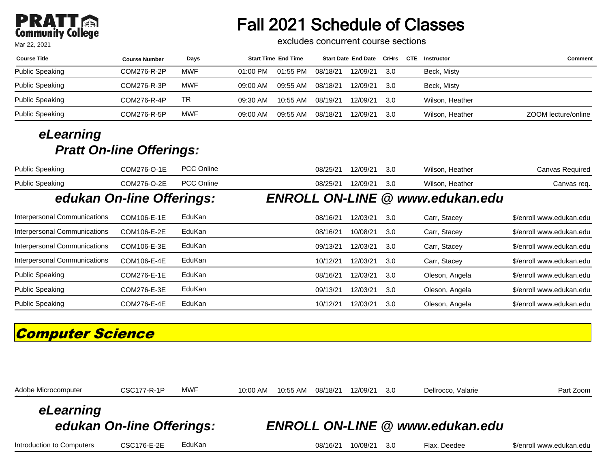# **PRATT**<br>Community College

Mar 22, 2021

# Fall 2021 Schedule of Classes

excludes concurrent course sections

| <b>Course Title</b> | <b>Course Number</b> | Days       | <b>Start Time End Time</b> |          |          | Start Date End Date CrHrs |      | CTE | Instructor      | Comment             |
|---------------------|----------------------|------------|----------------------------|----------|----------|---------------------------|------|-----|-----------------|---------------------|
| Public Speaking     | COM276-R-2P          | <b>MWF</b> | $01:00$ PM                 | 01:55 PM | 08/18/21 | 12/09/21                  | 3.0  |     | Beck, Misty     |                     |
| Public Speaking     | COM276-R-3P          | MWF        | 09:00 AM                   | 09:55 AM | 08/18/21 | 12/09/21                  | 3.0  |     | Beck, Misty     |                     |
| Public Speaking     | COM276-R-4P          | TR         | 09:30 AM                   | 10:55 AM | 08/19/21 | 12/09/21                  | -3.0 |     | Wilson, Heather |                     |
| Public Speaking     | COM276-R-5P          | MWF        | 09:00 AM                   | 09:55 AM | 08/18/21 | 12/09/21                  | 3.0  |     | Wilson, Heather | ZOOM lecture/online |

#### **eLearning Pratt On-line Offerings:**

| <b>Public Speaking</b>              | COM276-O-1E | <b>PCC Online</b> | 08/25/21 | 12/09/21 | 3.0 | Wilson, Heather                        | Canvas Required          |
|-------------------------------------|-------------|-------------------|----------|----------|-----|----------------------------------------|--------------------------|
| <b>Public Speaking</b>              | COM276-O-2E | <b>PCC Online</b> | 08/25/21 | 12/09/21 | 3.0 | Wilson, Heather                        | Canvas req.              |
| edukan On-line Offerings:           |             |                   |          |          |     | <b>ENROLL ON-LINE @ www.edukan.edu</b> |                          |
| <b>Interpersonal Communications</b> | COM106-E-1E | EduKan            | 08/16/21 | 12/03/21 | 3.0 | Carr, Stacey                           | \$/enroll www.edukan.edu |
| <b>Interpersonal Communications</b> | COM106-E-2E | EduKan            | 08/16/21 | 10/08/21 | 3.0 | Carr, Stacey                           | \$/enroll www.edukan.edu |
| Interpersonal Communications        | COM106-E-3E | EduKan            | 09/13/21 | 12/03/21 | 3.0 | Carr, Stacey                           | \$/enroll www.edukan.edu |
| Interpersonal Communications        | COM106-E-4E | EduKan            | 10/12/21 | 12/03/21 | 3.0 | Carr, Stacey                           | \$/enroll www.edukan.edu |
| <b>Public Speaking</b>              | COM276-E-1E | EduKan            | 08/16/21 | 12/03/21 | 3.0 | Oleson, Angela                         | \$/enroll www.edukan.edu |
| <b>Public Speaking</b>              | COM276-E-3E | EduKan            | 09/13/21 | 12/03/21 | 3.0 | Oleson, Angela                         | \$/enroll www.edukan.edu |
| <b>Public Speaking</b>              | COM276-E-4E | EduKan            | 10/12/21 | 12/03/21 | 3.0 | Oleson, Angela                         | \$/enroll www.edukan.edu |

## **Computer Science**

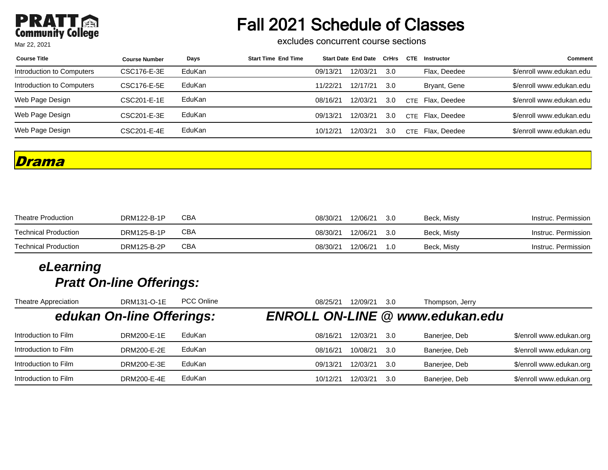## **PRATT** Mar 22, 2021

# Fall 2021 Schedule of Classes

excludes concurrent course sections

| <b>Course Title</b>       | <b>Course Number</b> | Days   | <b>Start Time End Time</b> |          | <b>Start Date End Date</b> | CrHrs | <b>CTE</b> | Instructor   | <b>Comment</b>           |
|---------------------------|----------------------|--------|----------------------------|----------|----------------------------|-------|------------|--------------|--------------------------|
| Introduction to Computers | CSC176-E-3E          | EduKan |                            | 09/13/21 | 12/03/21                   | 3.0   |            | Flax. Deedee | \$/enroll www.edukan.edu |
| Introduction to Computers | CSC176-E-5E          | EduKan |                            | 11/22/21 | 12/17/21                   | .3.O  |            | Bryant, Gene | \$/enroll www.edukan.edu |
| Web Page Design           | CSC201-E-1E          | EduKan |                            | 08/16/21 | 12/03/21                   | 3.0   | <b>CTF</b> | Flax. Deedee | \$/enroll www.edukan.edu |
| Web Page Design           | CSC201-E-3E          | EduKan |                            | 09/13/21 | 12/03/21                   | 3.0   | <b>CTE</b> | Flax. Deedee | \$/enroll www.edukan.edu |
| Web Page Design           | CSC201-E-4E          | EduKan |                            | 10/12/21 | 12/03/21                   | 3.0   | <b>CTE</b> | Flax. Deedee | \$/enroll www.edukan.edu |

#### **Drama**

| <b>Theatre Production</b>   | DRM122-B-1P | СВА | 08/30/21 | 12/06/21 | -3.0 | Beck, Misty | Instruc. Permission |
|-----------------------------|-------------|-----|----------|----------|------|-------------|---------------------|
| Technical Production        | DRM125-B-1P | СВА | 08/30/21 | 12/06/21 | -3.0 | Beck, Misty | Instruc. Permission |
| <b>Technical Production</b> | DRM125-B-2P | СВА | 08/30/21 | 12/06/21 |      | Beck, Misty | Instruc. Permission |

| Theatre Appreciation | DRM131-O-1E               | <b>PCC Online</b> | 08/25/21 | 12/09/21 | 3.0  | Thompson, Jerry                        |                          |
|----------------------|---------------------------|-------------------|----------|----------|------|----------------------------------------|--------------------------|
|                      | edukan On-line Offerings: |                   |          |          |      | <b>ENROLL ON-LINE @ www.edukan.edu</b> |                          |
| Introduction to Film | DRM200-E-1E               | EduKan            | 08/16/21 | 12/03/21 | .3.O | Banerjee, Deb                          | \$/enroll www.edukan.org |
| Introduction to Film | DRM200-E-2E               | EduKan            | 08/16/21 | 10/08/21 | -3.0 | Banerjee, Deb                          | \$/enroll www.edukan.org |
| Introduction to Film | DRM200-E-3E               | EduKan            | 09/13/21 | 12/03/21 | 3.0  | Banerjee, Deb                          | \$/enroll www.edukan.org |
| Introduction to Film | DRM200-E-4E               | EduKan            | 10/12/21 | 12/03/21 | 30   | Banerjee, Deb                          | \$/enroll www.edukan.org |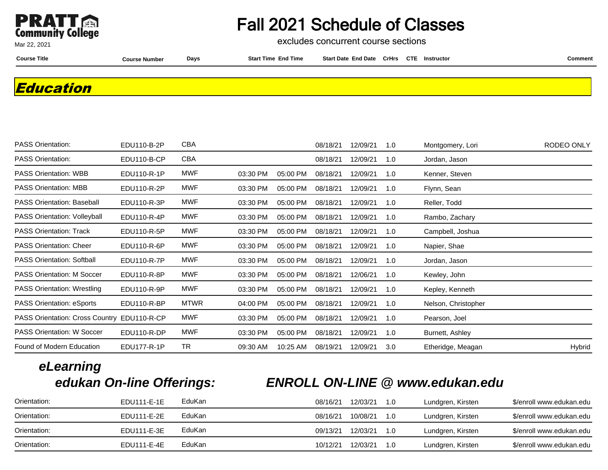

excludes concurrent course sections

Mar 22, 2021

**Course Title Course Number Days Start Time End Time Start Date End Date CrHrs Instructor Comment CTE**

**Education**

| <b>PASS Orientation:</b>                    | EDU110-B-2P | CBA         |          |          | 08/18/21 | 12/09/21 | 1.0 | Montgomery, Lori    | RODEO ONLY |
|---------------------------------------------|-------------|-------------|----------|----------|----------|----------|-----|---------------------|------------|
| <b>PASS Orientation:</b>                    | EDU110-B-CP | CBA         |          |          | 08/18/21 | 12/09/21 | 1.0 | Jordan, Jason       |            |
| <b>PASS Orientation: WBB</b>                | EDU110-R-1P | MWF         | 03:30 PM | 05:00 PM | 08/18/21 | 12/09/21 | 1.0 | Kenner, Steven      |            |
| <b>PASS Orientation: MBB</b>                | EDU110-R-2P | MWF         | 03:30 PM | 05:00 PM | 08/18/21 | 12/09/21 | 1.0 | Flynn, Sean         |            |
| <b>PASS Orientation: Baseball</b>           | EDU110-R-3P | MWF         | 03:30 PM | 05:00 PM | 08/18/21 | 12/09/21 | 1.0 | Reller, Todd        |            |
| PASS Orientation: Volleyball                | EDU110-R-4P | MWF         | 03:30 PM | 05:00 PM | 08/18/21 | 12/09/21 | 1.0 | Rambo, Zachary      |            |
| <b>PASS Orientation: Track</b>              | EDU110-R-5P | MWF         | 03:30 PM | 05:00 PM | 08/18/21 | 12/09/21 | 1.0 | Campbell, Joshua    |            |
| <b>PASS Orientation: Cheer</b>              | EDU110-R-6P | MWF         | 03:30 PM | 05:00 PM | 08/18/21 | 12/09/21 | 1.0 | Napier, Shae        |            |
| <b>PASS Orientation: Softball</b>           | EDU110-R-7P | MWF         | 03:30 PM | 05:00 PM | 08/18/21 | 12/09/21 | 1.0 | Jordan, Jason       |            |
| <b>PASS Orientation: M Soccer</b>           | EDU110-R-8P | MWF         | 03:30 PM | 05:00 PM | 08/18/21 | 12/06/21 | 1.0 | Kewley, John        |            |
| <b>PASS Orientation: Wrestling</b>          | EDU110-R-9P | MWF         | 03:30 PM | 05:00 PM | 08/18/21 | 12/09/21 | 1.0 | Kepley, Kenneth     |            |
| <b>PASS Orientation: eSports</b>            | EDU110-R-BP | <b>MTWR</b> | 04:00 PM | 05:00 PM | 08/18/21 | 12/09/21 | 1.0 | Nelson, Christopher |            |
| PASS Orientation: Cross Country EDU110-R-CP |             | MWF         | 03:30 PM | 05:00 PM | 08/18/21 | 12/09/21 | 1.0 | Pearson, Joel       |            |
| <b>PASS Orientation: W Soccer</b>           | EDU110-R-DP | MWF         | 03:30 PM | 05:00 PM | 08/18/21 | 12/09/21 | 1.0 | Burnett, Ashley     |            |
| Found of Modern Education                   | EDU177-R-1P | <b>TR</b>   | 09:30 AM | 10:25 AM | 08/19/21 | 12/09/21 | 3.0 | Etheridge, Meagan   | Hybrid     |
|                                             |             |             |          |          |          |          |     |                     |            |

# **eLearning**

## **edukan On-line Offerings: ENROLL ON-LINE @ www.edukan.edu**

| Orientation: | EDU111-E-1E | EduKan | 08/16/21 | 12/03/21 | 1.0         | Lundgren, Kirsten | \$/enroll www.edukan.edu |
|--------------|-------------|--------|----------|----------|-------------|-------------------|--------------------------|
| Orientation: | EDU111-E-2E | EduKan | 08/16/21 | 10/08/21 | 1.O         | Lundgren, Kirsten | \$/enroll www.edukan.edu |
| Orientation: | EDU111-E-3E | EduKan | 09/13/21 | 12/03/21 | 1. $\Omega$ | Lundgren, Kirsten | \$/enroll www.edukan.edu |
| Orientation: | EDU111-E-4E | EduKan | 10/12/21 | 12/03/21 | 1. $\Omega$ | Lundgren, Kirsten | \$/enroll www.edukan.edu |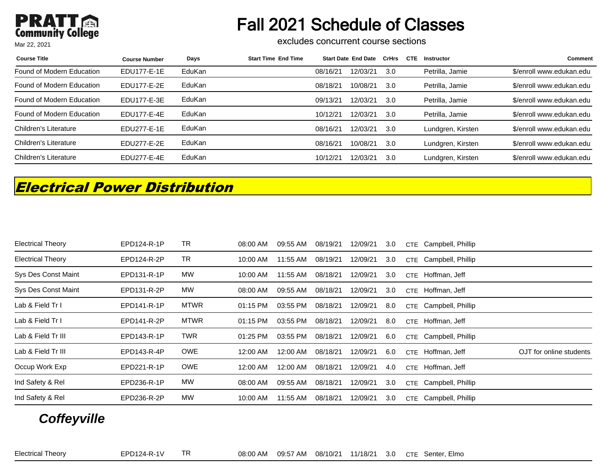# Fall 2021 Schedule of Classes

excludes concurrent course sections

| <b>Course Title</b>       | <b>Course Number</b> | Days   | <b>Start Time End Time</b> |          | <b>Start Date End Date</b> | CrHrs | <b>CTE</b> | Instructor        | <b>Comment</b>           |
|---------------------------|----------------------|--------|----------------------------|----------|----------------------------|-------|------------|-------------------|--------------------------|
| Found of Modern Education | EDU177-E-1E          | EduKan |                            | 08/16/21 | 12/03/21                   | 3.0   |            | Petrilla, Jamie   | \$/enroll www.edukan.edu |
| Found of Modern Education | EDU177-E-2E          | EduKan |                            | 08/18/21 | 10/08/21                   | 3.0   |            | Petrilla, Jamie   | \$/enroll www.edukan.edu |
| Found of Modern Education | EDU177-E-3E          | EduKan |                            | 09/13/21 | 12/03/21                   | 3.0   |            | Petrilla, Jamie   | \$/enroll www.edukan.edu |
| Found of Modern Education | EDU177-E-4E          | EduKan |                            | 10/12/21 | 12/03/21                   | 3.0   |            | Petrilla, Jamie   | \$/enroll www.edukan.edu |
| Children's Literature     | EDU277-E-1E          | EduKan |                            | 08/16/21 | 12/03/21                   | -3.0  |            | Lundgren, Kirsten | \$/enroll www.edukan.edu |
| Children's Literature     | EDU277-E-2E          | EduKan |                            | 08/16/21 | 10/08/21                   | 3.0   |            | Lundgren, Kirsten | \$/enroll www.edukan.edu |
| Children's Literature     | EDU277-E-4E          | EduKan |                            | 10/12/21 | 12/03/21                   | 3.0   |            | Lundgren, Kirsten | \$/enroll www.edukan.edu |

## **Electrical Power Distribution**

| <b>Electrical Theory</b> | EPD124-R-1P | TR          | 08:00 AM | 09:55 AM | 08/19/21 | 12/09/21 | 3.0 | CTE Campbell, Phillip                        |  |
|--------------------------|-------------|-------------|----------|----------|----------|----------|-----|----------------------------------------------|--|
| <b>Electrical Theory</b> | EPD124-R-2P | TR          | 10:00 AM | 11:55 AM | 08/19/21 | 12/09/21 | 3.0 | CTE Campbell, Phillip                        |  |
| Sys Des Const Maint      | EPD131-R-1P | MW          | 10:00 AM | 11:55 AM | 08/18/21 | 12/09/21 | 3.0 | CTE Hoffman, Jeff                            |  |
| Sys Des Const Maint      | EPD131-R-2P | MW          | 08:00 AM | 09:55 AM | 08/18/21 | 12/09/21 | 3.0 | CTE Hoffman, Jeff                            |  |
| Lab & Field Tr I         | EPD141-R-1P | <b>MTWR</b> | 01:15 PM | 03:55 PM | 08/18/21 | 12/09/21 | 8.0 | CTE Campbell, Phillip                        |  |
| Lab & Field Tr I         | EPD141-R-2P | <b>MTWR</b> | 01:15 PM | 03:55 PM | 08/18/21 | 12/09/21 | 8.0 | CTE Hoffman, Jeff                            |  |
| Lab & Field Tr III       | EPD143-R-1P | <b>TWR</b>  | 01:25 PM | 03:55 PM | 08/18/21 | 12/09/21 | 6.0 | CTE Campbell, Phillip                        |  |
| Lab & Field Tr III       | EPD143-R-4P | <b>OWE</b>  | 12:00 AM | 12:00 AM | 08/18/21 | 12/09/21 | 6.0 | OJT for online students<br>CTE Hoffman, Jeff |  |
| Occup Work Exp           | EPD221-R-1P | <b>OWE</b>  | 12:00 AM | 12:00 AM | 08/18/21 | 12/09/21 | 4.0 | CTE Hoffman, Jeff                            |  |
| Ind Safety & Rel         | EPD236-R-1P | MW          | 08:00 AM | 09:55 AM | 08/18/21 | 12/09/21 | 3.0 | CTE Campbell, Phillip                        |  |
| Ind Safety & Rel         | EPD236-R-2P | MW          | 10:00 AM | 11:55 AM | 08/18/21 | 12/09/21 | 3.0 | CTE Campbell, Phillip                        |  |

#### **Coffeyville**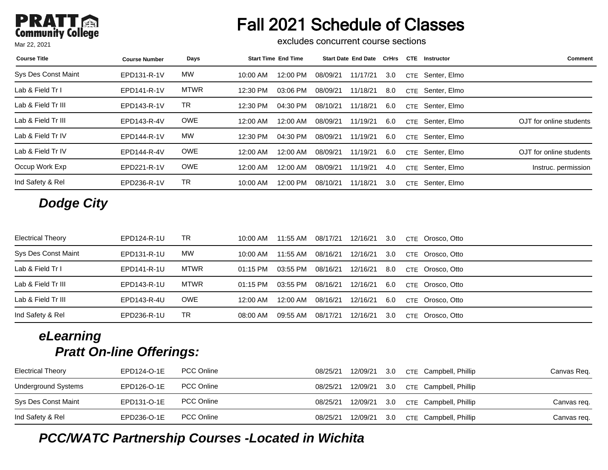# Fall 2021 Schedule of Classes

excludes concurrent course sections

| <b>Course Title</b> | <b>Course Number</b> | Days        | <b>Start Time End Time</b> | <b>Start Date End Date</b> | CrHrs | <b>CTE</b> | Instructor   | <b>Comment</b>          |
|---------------------|----------------------|-------------|----------------------------|----------------------------|-------|------------|--------------|-------------------------|
| Sys Des Const Maint | EPD131-R-1V          | <b>MW</b>   | $10:00$ AM<br>12:00 PM     | 11/17/21<br>08/09/21       | 3.0   | <b>CTE</b> | Senter, Elmo |                         |
| Lab & Field Tr I    | EPD141-R-1V          | <b>MTWR</b> | 12:30 PM<br>03:06 PM       | 08/09/21<br>11/18/21       | 8.0   | <b>CTE</b> | Senter, Elmo |                         |
| Lab & Field Tr III  | EPD143-R-1V          | TR          | 12:30 PM<br>04:30 PM       | 08/10/21<br>11/18/21       | 6.0   | <b>CTE</b> | Senter, Elmo |                         |
| Lab & Field Tr III  | EPD143-R-4V          | <b>OWE</b>  | 12:00 AM<br>12:00 AM       | 11/19/21<br>08/09/21       | 6.0   | <b>CTE</b> | Senter, Elmo | OJT for online students |
| Lab & Field Tr IV   | EPD144-R-1V          | <b>MW</b>   | 12:30 PM<br>04:30 PM       | 08/09/21<br>11/19/21       | 6.0   | <b>CTE</b> | Senter, Elmo |                         |
| Lab & Field Tr IV   | EPD144-R-4V          | <b>OWE</b>  | 12:00 AM<br>12:00 AM       | 11/19/21<br>08/09/21       | 6.0   | <b>CTE</b> | Senter, Elmo | OJT for online students |
| Occup Work Exp      | EPD221-R-1V          | <b>OWE</b>  | 12:00 AM<br>12:00 AM       | 11/19/21<br>08/09/21       | 4.0   | <b>CTE</b> | Senter, Elmo | Instruc. permission     |
| Ind Safety & Rel    | EPD236-R-1V          | TR          | 12:00 PM<br>$10:00$ AM     | 11/18/21<br>08/10/21       | 3.0   | <b>CTE</b> | Senter, Elmo |                         |

## **Dodge City**

| <b>Electrical Theory</b> | EPD124-R-1U | TR          | 10:00 AM   | 11:55 AM | 08/17/21 | 12/16/21 | 3.0 | CTE Orosco, Otto |
|--------------------------|-------------|-------------|------------|----------|----------|----------|-----|------------------|
| Sys Des Const Maint      | EPD131-R-1U | МW          | 10:00 AM   | 11:55 AM | 08/16/21 | 12/16/21 | 3.0 | CTE Orosco, Otto |
| Lab & Field Tr I         | EPD141-R-1U | <b>MTWR</b> | $01:15$ PM | 03:55 PM | 08/16/21 | 12/16/21 | 8.0 | CTE Orosco, Otto |
| Lab & Field Tr III       | EPD143-R-1U | <b>MTWR</b> | $01:15$ PM | 03:55 PM | 08/16/21 | 12/16/21 | 6.0 | CTE Orosco, Otto |
| Lab & Field Tr III       | EPD143-R-4U | <b>OWE</b>  | 12:00 AM   | 12:00 AM | 08/16/21 | 12/16/21 | 6.0 | CTE Orosco, Otto |
| Ind Safety & Rel         | EPD236-R-1U | TR          | 08:00 AM   | 09:55 AM | 08/17/21 | 12/16/21 | 3.0 | CTE Orosco, Otto |

#### **eLearning Pratt On-line Offerings:**

| <b>Electrical Theory</b> | EPD124-O-1E | <b>PCC Online</b> | 08/25/21 | 12/09/21 | 3.0 | CTE Campbell, Phillip     | Canvas Reg. |
|--------------------------|-------------|-------------------|----------|----------|-----|---------------------------|-------------|
| Underground Systems      | EPD126-O-1E | <b>PCC Online</b> | 08/25/21 | 12/09/21 |     | 3.0 CTE Campbell, Phillip |             |
| Sys Des Const Maint      | EPD131-O-1E | <b>PCC Online</b> | 08/25/21 | 12/09/21 |     | 3.0 CTE Campbell, Phillip | Canvas reg. |
| Ind Safety & Rel         | EPD236-O-1E | <b>PCC Online</b> | 08/25/21 | 12/09/21 | 3.0 | CTE Campbell, Phillip     | Canvas req. |

#### **PCC/WATC Partnership Courses -Located in Wichita**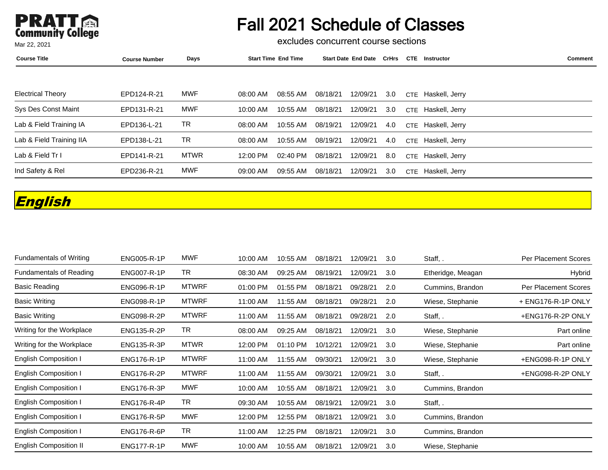

excludes concurrent course sections

| <b>Course Title</b>      | <b>Course Number</b> | Days        | <b>Start Time End Time</b> | <b>Start Date End Date</b> | CrHrs | <b>CTE</b> | Instructor         | Comment |
|--------------------------|----------------------|-------------|----------------------------|----------------------------|-------|------------|--------------------|---------|
|                          |                      |             |                            |                            |       |            |                    |         |
| <b>Electrical Theory</b> | EPD124-R-21          | MWF         | 08:55 AM<br>08:00 AM       | 08/18/21<br>12/09/21       | 3.0   |            | CTE Haskell, Jerry |         |
| Sys Des Const Maint      | EPD131-R-21          | MWF         | $10:00$ AM<br>10:55 AM     | 12/09/21<br>08/18/21       | 3.0   |            | CTE Haskell, Jerry |         |
| Lab & Field Training IA  | EPD136-L-21          | TR.         | 10:55 AM<br>08:00 AM       | 08/19/21<br>12/09/21       | 4.0   |            | CTE Haskell, Jerry |         |
| Lab & Field Training IIA | EPD138-L-21          | TR.         | 10:55 AM<br>08:00 AM       | 08/19/21<br>12/09/21       | 4.0   |            | CTE Haskell, Jerry |         |
| Lab & Field Tr I         | EPD141-R-21          | <b>MTWR</b> | 02:40 PM<br>12:00 PM       | 08/18/21<br>12/09/21       | 8.0   |            | CTE Haskell, Jerry |         |
| Ind Safety & Rel         | EPD236-R-21          | MWF         | 09:00 AM<br>09:55 AM       | 08/18/21<br>12/09/21       | 3.0   |            | CTE Haskell, Jerry |         |

## **English**

| <b>Fundamentals of Writing</b> | <b>ENG005-R-1P</b> | <b>MWF</b>   | 10:00 AM | 10:55 AM | 08/18/21 | 12/09/21 | 3.0 | Staff, .          | <b>Per Placement Scores</b> |
|--------------------------------|--------------------|--------------|----------|----------|----------|----------|-----|-------------------|-----------------------------|
| <b>Fundamentals of Reading</b> | <b>ENG007-R-1P</b> | <b>TR</b>    | 08:30 AM | 09:25 AM | 08/19/21 | 12/09/21 | 3.0 | Etheridge, Meagan | Hybrid                      |
| <b>Basic Reading</b>           | <b>ENG096-R-1P</b> | <b>MTWRF</b> | 01:00 PM | 01:55 PM | 08/18/21 | 09/28/21 | 2.0 | Cummins, Brandon  | Per Placement Scores        |
| <b>Basic Writing</b>           | <b>ENG098-R-1P</b> | <b>MTWRF</b> | 11:00 AM | 11:55 AM | 08/18/21 | 09/28/21 | 2.0 | Wiese, Stephanie  | + ENG176-R-1P ONLY          |
| <b>Basic Writing</b>           | <b>ENG098-R-2P</b> | <b>MTWRF</b> | 11:00 AM | 11:55 AM | 08/18/21 | 09/28/21 | 2.0 | Staff, .          | +ENG176-R-2P ONLY           |
| Writing for the Workplace      | <b>ENG135-R-2P</b> | TR           | 08:00 AM | 09:25 AM | 08/18/21 | 12/09/21 | 3.0 | Wiese, Stephanie  | Part online                 |
| Writing for the Workplace      | ENG135-R-3P        | <b>MTWR</b>  | 12:00 PM | 01:10 PM | 10/12/21 | 12/09/21 | 3.0 | Wiese, Stephanie  | Part online                 |
| <b>English Composition I</b>   | <b>ENG176-R-1P</b> | <b>MTWRF</b> | 11:00 AM | 11:55 AM | 09/30/21 | 12/09/21 | 3.0 | Wiese, Stephanie  | +ENG098-R-1P ONLY           |
| <b>English Composition I</b>   | <b>ENG176-R-2P</b> | <b>MTWRF</b> | 11:00 AM | 11:55 AM | 09/30/21 | 12/09/21 | 3.0 | Staff, .          | +ENG098-R-2P ONLY           |
| <b>English Composition I</b>   | <b>ENG176-R-3P</b> | <b>MWF</b>   | 10:00 AM | 10:55 AM | 08/18/21 | 12/09/21 | 3.0 | Cummins, Brandon  |                             |
| <b>English Composition I</b>   | <b>ENG176-R-4P</b> | <b>TR</b>    | 09:30 AM | 10:55 AM | 08/19/21 | 12/09/21 | 3.0 | Staff, .          |                             |
| <b>English Composition I</b>   | <b>ENG176-R-5P</b> | <b>MWF</b>   | 12:00 PM | 12:55 PM | 08/18/21 | 12/09/21 | 3.0 | Cummins, Brandon  |                             |
| <b>English Composition I</b>   | <b>ENG176-R-6P</b> | TR           | 11:00 AM | 12:25 PM | 08/18/21 | 12/09/21 | 3.0 | Cummins, Brandon  |                             |
| <b>English Composition II</b>  | <b>ENG177-R-1P</b> | <b>MWF</b>   | 10:00 AM | 10:55 AM | 08/18/21 | 12/09/21 | 3.0 | Wiese, Stephanie  |                             |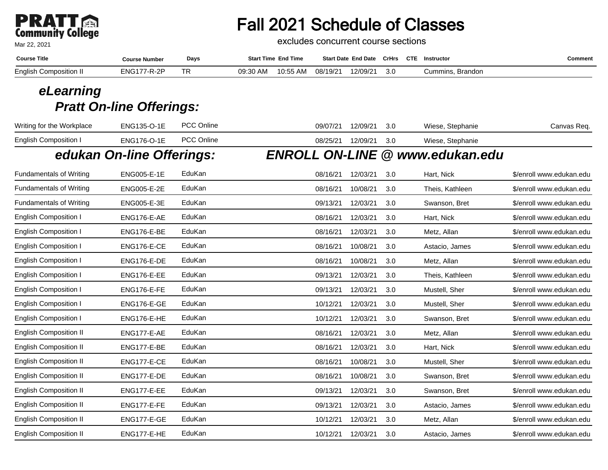# **PRATT**<br>Community College

Mar 22, 2021

# Fall 2021 Schedule of Classes

excludes concurrent course sections

| <b>Course Title</b>           | Course Number | Days      | <b>Start Time End Time</b> | <b>Start Date End Date CrHrs</b> |     | <b>CTE</b><br>Instructor | Comment |
|-------------------------------|---------------|-----------|----------------------------|----------------------------------|-----|--------------------------|---------|
| <b>English Composition II</b> | ENG177-R-2P   | <b>TR</b> | 10:55 AM<br>09:30 AM       | 12/09/21<br>08/19/21             | 3.0 | Cummins.<br>. Brandon    |         |

| Writing for the Workplace      | ENG135-O-1E               | PCC Online | 09/07/21 | 12/09/21 | 3.0 | Wiese, Stephanie                | Canvas Req.              |
|--------------------------------|---------------------------|------------|----------|----------|-----|---------------------------------|--------------------------|
| <b>English Composition I</b>   | ENG176-O-1E               | PCC Online | 08/25/21 | 12/09/21 | 3.0 | Wiese, Stephanie                |                          |
|                                | edukan On-line Offerings: |            |          |          |     | ENROLL ON-LINE @ www.edukan.edu |                          |
| <b>Fundamentals of Writing</b> | <b>ENG005-E-1E</b>        | EduKan     | 08/16/21 | 12/03/21 | 3.0 | Hart, Nick                      | \$/enroll www.edukan.edu |
| <b>Fundamentals of Writing</b> | ENG005-E-2E               | EduKan     | 08/16/21 | 10/08/21 | 3.0 | Theis, Kathleen                 | \$/enroll www.edukan.edu |
| <b>Fundamentals of Writing</b> | ENG005-E-3E               | EduKan     | 09/13/21 | 12/03/21 | 3.0 | Swanson, Bret                   | \$/enroll www.edukan.edu |
| <b>English Composition I</b>   | ENG176-E-AE               | EduKan     | 08/16/21 | 12/03/21 | 3.0 | Hart, Nick                      | \$/enroll www.edukan.edu |
| English Composition I          | ENG176-E-BE               | EduKan     | 08/16/21 | 12/03/21 | 3.0 | Metz, Allan                     | \$/enroll www.edukan.edu |
| <b>English Composition I</b>   | ENG176-E-CE               | EduKan     | 08/16/21 | 10/08/21 | 3.0 | Astacio, James                  | \$/enroll www.edukan.edu |
| <b>English Composition I</b>   | ENG176-E-DE               | EduKan     | 08/16/21 | 10/08/21 | 3.0 | Metz, Allan                     | \$/enroll www.edukan.edu |
| <b>English Composition I</b>   | ENG176-E-EE               | EduKan     | 09/13/21 | 12/03/21 | 3.0 | Theis, Kathleen                 | \$/enroll www.edukan.edu |
| <b>English Composition I</b>   | ENG176-E-FE               | EduKan     | 09/13/21 | 12/03/21 | 3.0 | Mustell, Sher                   | \$/enroll www.edukan.edu |
| <b>English Composition I</b>   | ENG176-E-GE               | EduKan     | 10/12/21 | 12/03/21 | 3.0 | Mustell, Sher                   | \$/enroll www.edukan.edu |
| <b>English Composition I</b>   | ENG176-E-HE               | EduKan     | 10/12/21 | 12/03/21 | 3.0 | Swanson, Bret                   | \$/enroll www.edukan.edu |
| <b>English Composition II</b>  | ENG177-E-AE               | EduKan     | 08/16/21 | 12/03/21 | 3.0 | Metz, Allan                     | \$/enroll www.edukan.edu |
| <b>English Composition II</b>  | ENG177-E-BE               | EduKan     | 08/16/21 | 12/03/21 | 3.0 | Hart, Nick                      | \$/enroll www.edukan.edu |
| <b>English Composition II</b>  | ENG177-E-CE               | EduKan     | 08/16/21 | 10/08/21 | 3.0 | Mustell, Sher                   | \$/enroll www.edukan.edu |
| <b>English Composition II</b>  | ENG177-E-DE               | EduKan     | 08/16/21 | 10/08/21 | 3.0 | Swanson, Bret                   | \$/enroll www.edukan.edu |
| <b>English Composition II</b>  | ENG177-E-EE               | EduKan     | 09/13/21 | 12/03/21 | 3.0 | Swanson, Bret                   | \$/enroll www.edukan.edu |
| <b>English Composition II</b>  | ENG177-E-FE               | EduKan     | 09/13/21 | 12/03/21 | 3.0 | Astacio, James                  | \$/enroll www.edukan.edu |
| <b>English Composition II</b>  | ENG177-E-GE               | EduKan     | 10/12/21 | 12/03/21 | 3.0 | Metz, Allan                     | \$/enroll www.edukan.edu |
| <b>English Composition II</b>  | ENG177-E-HE               | EduKan     | 10/12/21 | 12/03/21 | 3.0 | Astacio, James                  | \$/enroll www.edukan.edu |
|                                |                           |            |          |          |     |                                 |                          |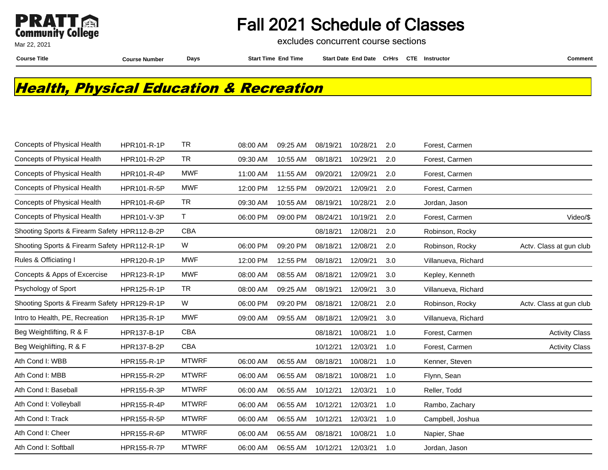

excludes concurrent course sections

Mar 22, 2021

**Course Title Course Number Days Start Time End Time Start Date End Date CrHrs Instructor Comment CTE**

## **Health, Physical Education & Recreation**

| Concepts of Physical Health                  | HPR101-R-1P        | <b>TR</b>    | 08:00 AM | 09:25 AM | 08/19/21 | 10/28/21 | 2.0 | Forest, Carmen      |                         |
|----------------------------------------------|--------------------|--------------|----------|----------|----------|----------|-----|---------------------|-------------------------|
| Concepts of Physical Health                  | HPR101-R-2P        | <b>TR</b>    | 09:30 AM | 10:55 AM | 08/18/21 | 10/29/21 | 2.0 | Forest, Carmen      |                         |
| <b>Concepts of Physical Health</b>           | <b>HPR101-R-4P</b> | <b>MWF</b>   | 11:00 AM | 11:55 AM | 09/20/21 | 12/09/21 | 2.0 | Forest, Carmen      |                         |
| Concepts of Physical Health                  | HPR101-R-5P        | <b>MWF</b>   | 12:00 PM | 12:55 PM | 09/20/21 | 12/09/21 | 2.0 | Forest, Carmen      |                         |
| Concepts of Physical Health                  | <b>HPR101-R-6P</b> | <b>TR</b>    | 09:30 AM | 10:55 AM | 08/19/21 | 10/28/21 | 2.0 | Jordan, Jason       |                         |
| Concepts of Physical Health                  | HPR101-V-3P        | $\mathsf{T}$ | 06:00 PM | 09:00 PM | 08/24/21 | 10/19/21 | 2.0 | Forest, Carmen      | Video/\$                |
| Shooting Sports & Firearm Safety HPR112-B-2P |                    | CBA          |          |          | 08/18/21 | 12/08/21 | 2.0 | Robinson, Rocky     |                         |
| Shooting Sports & Firearm Safety HPR112-R-1P |                    | W            | 06:00 PM | 09:20 PM | 08/18/21 | 12/08/21 | 2.0 | Robinson, Rocky     | Actv. Class at gun club |
| Rules & Officiating I                        | HPR120-R-1P        | <b>MWF</b>   | 12:00 PM | 12:55 PM | 08/18/21 | 12/09/21 | 3.0 | Villanueva, Richard |                         |
| Concepts & Apps of Excercise                 | <b>HPR123-R-1P</b> | <b>MWF</b>   | 08:00 AM | 08:55 AM | 08/18/21 | 12/09/21 | 3.0 | Kepley, Kenneth     |                         |
| Psychology of Sport                          | HPR125-R-1P        | <b>TR</b>    | 08:00 AM | 09:25 AM | 08/19/21 | 12/09/21 | 3.0 | Villanueva, Richard |                         |
| Shooting Sports & Firearm Safety HPR129-R-1P |                    | W            | 06:00 PM | 09:20 PM | 08/18/21 | 12/08/21 | 2.0 | Robinson, Rocky     | Actv. Class at gun club |
| Intro to Health, PE, Recreation              | HPR135-R-1P        | <b>MWF</b>   | 09:00 AM | 09:55 AM | 08/18/21 | 12/09/21 | 3.0 | Villanueva, Richard |                         |
| Beg Weightlifting, R & F                     | <b>HPR137-B-1P</b> | <b>CBA</b>   |          |          | 08/18/21 | 10/08/21 | 1.0 | Forest, Carmen      | <b>Activity Class</b>   |
| Beg Weighlifting, R & F                      | HPR137-B-2P        | <b>CBA</b>   |          |          | 10/12/21 | 12/03/21 | 1.0 | Forest, Carmen      | <b>Activity Class</b>   |
| Ath Cond I: WBB                              | HPR155-R-1P        | <b>MTWRF</b> | 06:00 AM | 06:55 AM | 08/18/21 | 10/08/21 | 1.0 | Kenner, Steven      |                         |
| Ath Cond I: MBB                              | HPR155-R-2P        | <b>MTWRF</b> | 06:00 AM | 06:55 AM | 08/18/21 | 10/08/21 | 1.0 | Flynn, Sean         |                         |
| Ath Cond I: Baseball                         | HPR155-R-3P        | <b>MTWRF</b> | 06:00 AM | 06:55 AM | 10/12/21 | 12/03/21 | 1.0 | Reller, Todd        |                         |
| Ath Cond I: Volleyball                       | <b>HPR155-R-4P</b> | <b>MTWRF</b> | 06:00 AM | 06:55 AM | 10/12/21 | 12/03/21 | 1.0 | Rambo, Zachary      |                         |
| Ath Cond I: Track                            | HPR155-R-5P        | <b>MTWRF</b> | 06:00 AM | 06:55 AM | 10/12/21 | 12/03/21 | 1.0 | Campbell, Joshua    |                         |
| Ath Cond I: Cheer                            | HPR155-R-6P        | <b>MTWRF</b> | 06:00 AM | 06:55 AM | 08/18/21 | 10/08/21 | 1.0 | Napier, Shae        |                         |
| Ath Cond I: Softball                         | <b>HPR155-R-7P</b> | <b>MTWRF</b> | 06:00 AM | 06:55 AM | 10/12/21 | 12/03/21 | 1.0 | Jordan, Jason       |                         |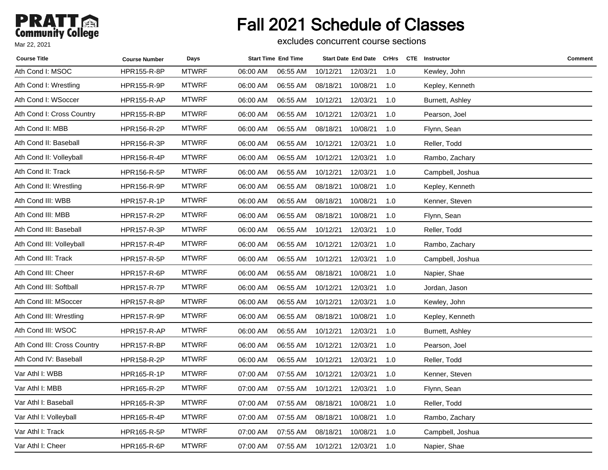# Fall 2021 Schedule of Classes

excludes concurrent course sections

| <b>Course Title</b>         | <b>Course Number</b> | Days         |          | <b>Start Time End Time</b> |          | <b>Start Date End Date</b> |     | CrHrs CTE Instructor | Comment |
|-----------------------------|----------------------|--------------|----------|----------------------------|----------|----------------------------|-----|----------------------|---------|
| Ath Cond I: MSOC            | HPR155-R-8P          | <b>MTWRF</b> | 06:00 AM | 06:55 AM                   | 10/12/21 | 12/03/21                   | 1.0 | Kewley, John         |         |
| Ath Cond I: Wrestling       | HPR155-R-9P          | <b>MTWRF</b> | 06:00 AM | 06:55 AM                   | 08/18/21 | 10/08/21                   | 1.0 | Kepley, Kenneth      |         |
| Ath Cond I: WSoccer         | <b>HPR155-R-AP</b>   | <b>MTWRF</b> | 06:00 AM | 06:55 AM                   | 10/12/21 | 12/03/21                   | 1.0 | Burnett, Ashley      |         |
| Ath Cond I: Cross Country   | HPR155-R-BP          | <b>MTWRF</b> | 06:00 AM | 06:55 AM                   | 10/12/21 | 12/03/21                   | 1.0 | Pearson, Joel        |         |
| Ath Cond II: MBB            | HPR156-R-2P          | <b>MTWRF</b> | 06:00 AM | 06:55 AM                   | 08/18/21 | 10/08/21                   | 1.0 | Flynn, Sean          |         |
| Ath Cond II: Baseball       | HPR156-R-3P          | <b>MTWRF</b> | 06:00 AM | 06:55 AM                   | 10/12/21 | 12/03/21                   | 1.0 | Reller, Todd         |         |
| Ath Cond II: Volleyball     | HPR156-R-4P          | <b>MTWRF</b> | 06:00 AM | 06:55 AM                   | 10/12/21 | 12/03/21                   | 1.0 | Rambo, Zachary       |         |
| Ath Cond II: Track          | HPR156-R-5P          | <b>MTWRF</b> | 06:00 AM | 06:55 AM                   | 10/12/21 | 12/03/21                   | 1.0 | Campbell, Joshua     |         |
| Ath Cond II: Wrestling      | <b>HPR156-R-9P</b>   | <b>MTWRF</b> | 06:00 AM | 06:55 AM                   | 08/18/21 | 10/08/21                   | 1.0 | Kepley, Kenneth      |         |
| Ath Cond III: WBB           | HPR157-R-1P          | <b>MTWRF</b> | 06:00 AM | 06:55 AM                   | 08/18/21 | 10/08/21                   | 1.0 | Kenner, Steven       |         |
| Ath Cond III: MBB           | <b>HPR157-R-2P</b>   | <b>MTWRF</b> | 06:00 AM | 06:55 AM                   | 08/18/21 | 10/08/21                   | 1.0 | Flynn, Sean          |         |
| Ath Cond III: Baseball      | HPR157-R-3P          | <b>MTWRF</b> | 06:00 AM | 06:55 AM                   | 10/12/21 | 12/03/21                   | 1.0 | Reller, Todd         |         |
| Ath Cond III: Volleyball    | HPR157-R-4P          | <b>MTWRF</b> | 06:00 AM | 06:55 AM                   | 10/12/21 | 12/03/21                   | 1.0 | Rambo, Zachary       |         |
| Ath Cond III: Track         | HPR157-R-5P          | <b>MTWRF</b> | 06:00 AM | 06:55 AM                   | 10/12/21 | 12/03/21                   | 1.0 | Campbell, Joshua     |         |
| Ath Cond III: Cheer         | <b>HPR157-R-6P</b>   | <b>MTWRF</b> | 06:00 AM | 06:55 AM                   | 08/18/21 | 10/08/21                   | 1.0 | Napier, Shae         |         |
| Ath Cond III: Softball      | HPR157-R-7P          | <b>MTWRF</b> | 06:00 AM | 06:55 AM                   | 10/12/21 | 12/03/21                   | 1.0 | Jordan, Jason        |         |
| Ath Cond III: MSoccer       | <b>HPR157-R-8P</b>   | <b>MTWRF</b> | 06:00 AM | 06:55 AM                   | 10/12/21 | 12/03/21                   | 1.0 | Kewley, John         |         |
| Ath Cond III: Wrestling     | HPR157-R-9P          | <b>MTWRF</b> | 06:00 AM | 06:55 AM                   | 08/18/21 | 10/08/21                   | 1.0 | Kepley, Kenneth      |         |
| Ath Cond III: WSOC          | <b>HPR157-R-AP</b>   | <b>MTWRF</b> | 06:00 AM | 06:55 AM                   | 10/12/21 | 12/03/21                   | 1.0 | Burnett, Ashley      |         |
| Ath Cond III: Cross Country | HPR157-R-BP          | <b>MTWRF</b> | 06:00 AM | 06:55 AM                   | 10/12/21 | 12/03/21                   | 1.0 | Pearson, Joel        |         |
| Ath Cond IV: Baseball       | HPR158-R-2P          | <b>MTWRF</b> | 06:00 AM | 06:55 AM                   | 10/12/21 | 12/03/21                   | 1.0 | Reller, Todd         |         |
| Var Athl I: WBB             | HPR165-R-1P          | <b>MTWRF</b> | 07:00 AM | 07:55 AM                   | 10/12/21 | 12/03/21                   | 1.0 | Kenner, Steven       |         |
| Var Athl I: MBB             | HPR165-R-2P          | <b>MTWRF</b> | 07:00 AM | 07:55 AM                   | 10/12/21 | 12/03/21                   | 1.0 | Flynn, Sean          |         |
| Var Athl I: Baseball        | HPR165-R-3P          | <b>MTWRF</b> | 07:00 AM | 07:55 AM                   | 08/18/21 | 10/08/21                   | 1.0 | Reller, Todd         |         |
| Var Athl I: Volleyball      | HPR165-R-4P          | <b>MTWRF</b> | 07:00 AM | 07:55 AM                   | 08/18/21 | 10/08/21                   | 1.0 | Rambo, Zachary       |         |
| Var Athl I: Track           | <b>HPR165-R-5P</b>   | <b>MTWRF</b> | 07:00 AM | 07:55 AM                   | 08/18/21 | 10/08/21                   | 1.0 | Campbell, Joshua     |         |
| Var Athl I: Cheer           | HPR165-R-6P          | <b>MTWRF</b> | 07:00 AM | 07:55 AM                   | 10/12/21 | 12/03/21                   | 1.0 | Napier, Shae         |         |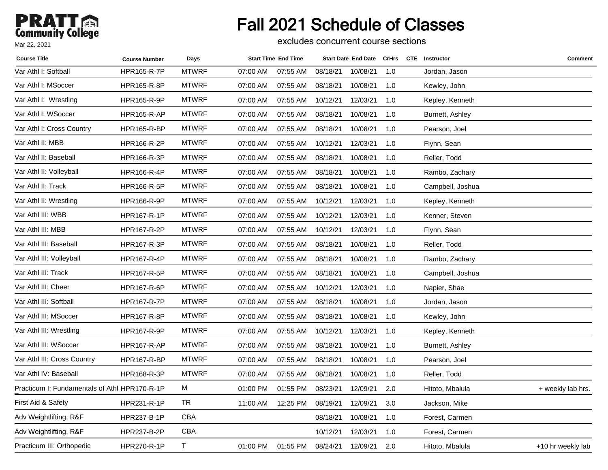# Fall 2021 Schedule of Classes

excludes concurrent course sections

| <b>Course Title</b>                           | <b>Course Number</b> | Days         |          | <b>Start Time End Time</b> |          | <b>Start Date End Date</b> | <b>CrHrs</b> | <b>CTE</b> Instructor | Comment           |
|-----------------------------------------------|----------------------|--------------|----------|----------------------------|----------|----------------------------|--------------|-----------------------|-------------------|
| Var Athl I: Softball                          | HPR165-R-7P          | <b>MTWRF</b> | 07:00 AM | 07:55 AM                   | 08/18/21 | 10/08/21                   | 1.0          | Jordan, Jason         |                   |
| Var Athl I: MSoccer                           | HPR165-R-8P          | <b>MTWRF</b> | 07:00 AM | 07:55 AM                   | 08/18/21 | 10/08/21                   | 1.0          | Kewley, John          |                   |
| Var Athl I: Wrestling                         | HPR165-R-9P          | <b>MTWRF</b> | 07:00 AM | 07:55 AM                   | 10/12/21 | 12/03/21                   | 1.0          | Kepley, Kenneth       |                   |
| Var Athl I: WSoccer                           | <b>HPR165-R-AP</b>   | <b>MTWRF</b> | 07:00 AM | 07:55 AM                   | 08/18/21 | 10/08/21                   | 1.0          | Burnett, Ashley       |                   |
| Var Athl I: Cross Country                     | <b>HPR165-R-BP</b>   | <b>MTWRF</b> | 07:00 AM | 07:55 AM                   | 08/18/21 | 10/08/21                   | 1.0          | Pearson, Joel         |                   |
| Var Athl II: MBB                              | HPR166-R-2P          | <b>MTWRF</b> | 07:00 AM | 07:55 AM                   | 10/12/21 | 12/03/21                   | 1.0          | Flynn, Sean           |                   |
| Var Athl II: Baseball                         | HPR166-R-3P          | <b>MTWRF</b> | 07:00 AM | 07:55 AM                   | 08/18/21 | 10/08/21                   | 1.0          | Reller, Todd          |                   |
| Var Athl II: Volleyball                       | HPR166-R-4P          | <b>MTWRF</b> | 07:00 AM | 07:55 AM                   | 08/18/21 | 10/08/21                   | 1.0          | Rambo, Zachary        |                   |
| Var Athl II: Track                            | HPR166-R-5P          | <b>MTWRF</b> | 07:00 AM | 07:55 AM                   | 08/18/21 | 10/08/21                   | 1.0          | Campbell, Joshua      |                   |
| Var Athl II: Wrestling                        | <b>HPR166-R-9P</b>   | <b>MTWRF</b> | 07:00 AM | 07:55 AM                   | 10/12/21 | 12/03/21                   | 1.0          | Kepley, Kenneth       |                   |
| Var Athl III: WBB                             | HPR167-R-1P          | <b>MTWRF</b> | 07:00 AM | 07:55 AM                   | 10/12/21 | 12/03/21                   | 1.0          | Kenner, Steven        |                   |
| Var Athl III: MBB                             | HPR167-R-2P          | <b>MTWRF</b> | 07:00 AM | 07:55 AM                   | 10/12/21 | 12/03/21                   | 1.0          | Flynn, Sean           |                   |
| Var Athl III: Baseball                        | HPR167-R-3P          | <b>MTWRF</b> | 07:00 AM | 07:55 AM                   | 08/18/21 | 10/08/21                   | 1.0          | Reller, Todd          |                   |
| Var Athl III: Volleyball                      | HPR167-R-4P          | <b>MTWRF</b> | 07:00 AM | 07:55 AM                   | 08/18/21 | 10/08/21                   | 1.0          | Rambo, Zachary        |                   |
| Var Athl III: Track                           | HPR167-R-5P          | <b>MTWRF</b> | 07:00 AM | 07:55 AM                   | 08/18/21 | 10/08/21                   | 1.0          | Campbell, Joshua      |                   |
| Var Athl III: Cheer                           | HPR167-R-6P          | <b>MTWRF</b> | 07:00 AM | 07:55 AM                   | 10/12/21 | 12/03/21                   | 1.0          | Napier, Shae          |                   |
| Var Athl III: Softball                        | <b>HPR167-R-7P</b>   | <b>MTWRF</b> | 07:00 AM | 07:55 AM                   | 08/18/21 | 10/08/21                   | 1.0          | Jordan, Jason         |                   |
| Var Athl III: MSoccer                         | HPR167-R-8P          | <b>MTWRF</b> | 07:00 AM | 07:55 AM                   | 08/18/21 | 10/08/21                   | 1.0          | Kewley, John          |                   |
| Var Athl III: Wrestling                       | <b>HPR167-R-9P</b>   | <b>MTWRF</b> | 07:00 AM | 07:55 AM                   | 10/12/21 | 12/03/21                   | 1.0          | Kepley, Kenneth       |                   |
| Var Athl III: WSoccer                         | <b>HPR167-R-AP</b>   | <b>MTWRF</b> | 07:00 AM | 07:55 AM                   | 08/18/21 | 10/08/21                   | 1.0          | Burnett, Ashley       |                   |
| Var Athl III: Cross Country                   | HPR167-R-BP          | <b>MTWRF</b> | 07:00 AM | 07:55 AM                   | 08/18/21 | 10/08/21                   | 1.0          | Pearson, Joel         |                   |
| Var Athl IV: Baseball                         | HPR168-R-3P          | <b>MTWRF</b> | 07:00 AM | 07:55 AM                   | 08/18/21 | 10/08/21                   | 1.0          | Reller, Todd          |                   |
| Practicum I: Fundamentals of Athl HPR170-R-1P |                      | м            | 01:00 PM | 01:55 PM                   | 08/23/21 | 12/09/21                   | 2.0          | Hitoto, Mbalula       | + weekly lab hrs. |
| First Aid & Safety                            | <b>HPR231-R-1P</b>   | <b>TR</b>    | 11:00 AM | 12:25 PM                   | 08/19/21 | 12/09/21                   | 3.0          | Jackson, Mike         |                   |
| Adv Weightlifting, R&F                        | <b>HPR237-B-1P</b>   | <b>CBA</b>   |          |                            | 08/18/21 | 10/08/21                   | 1.0          | Forest, Carmen        |                   |
| Adv Weightlifting, R&F                        | HPR237-B-2P          | <b>CBA</b>   |          |                            | 10/12/21 | 12/03/21                   | 1.0          | Forest, Carmen        |                   |
| Practicum III: Orthopedic                     | HPR270-R-1P          | $\top$       | 01:00 PM | 01:55 PM                   | 08/24/21 | 12/09/21                   | 2.0          | Hitoto, Mbalula       | +10 hr weekly lab |
|                                               |                      |              |          |                            |          |                            |              |                       |                   |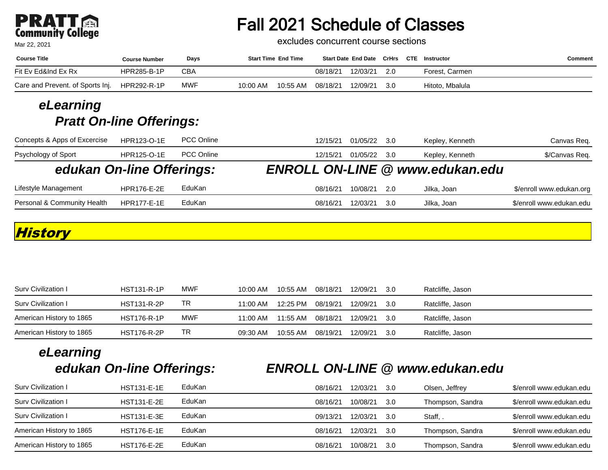# **PRATT**<br>Community College

Mar 22, 2021

# Fall 2021 Schedule of Classes

excludes concurrent course sections

| <b>Course Title</b>              | <b>Course Number</b> | Days       | <b>Start Time End Time</b> | Start Date End Date CrHrs CTE Instructor |     |                 | Comment |
|----------------------------------|----------------------|------------|----------------------------|------------------------------------------|-----|-----------------|---------|
| Fit Ev Ed&Ind Ex Rx              | HPR285-B-1P          | CBA        |                            | 12/03/21<br>08/18/21                     | 2.0 | Forest, Carmen  |         |
| Care and Prevent. of Sports Inj. | HPR292-R-1P          | <b>MWF</b> | 10:55 AM<br>10:00 AM       | 12/09/21<br>08/18/21                     | 3.0 | Hitoto, Mbalula |         |

#### **eLearning Pratt On-line Offerings:**

| Concepts & Apps of Excercise | HPR123-O-1E        | <b>PCC Online</b> | 01/05/22<br>Kepley, Kenneth<br>12/15/21<br>- 3.0 | Canvas Req.              |
|------------------------------|--------------------|-------------------|--------------------------------------------------|--------------------------|
| Psychology of Sport          | <b>HPR125-O-1E</b> | <b>PCC Online</b> | 01/05/22<br>12/15/21<br>- 3.0<br>Kepley, Kenneth | \$/Canvas Req.           |
| edukan On-line Offerings:    |                    |                   | <b>ENROLL ON-LINE @ www.edukan.edu</b>           |                          |
| Lifestyle Management         | <b>HPR176-E-2E</b> | EduKan            | 10/08/21<br>08/16/21<br>-2.0<br>Jilka, Joan      | \$/enroll www.edukan.org |
| Personal & Community Health  | <b>HPR177-E-1E</b> | EduKan            | 12/03/21<br>08/16/21<br>Jilka, Joan<br>3.0       | \$/enroll www.edukan.edu |

#### **History**

| Surv Civilization I      | <b>HST131-R-1P</b> | <b>MWF</b> | 10:00 AM   | $10:55$ AM | 08/18/21 | 12/09/21 | - 3.0 | Ratcliffe, Jason |
|--------------------------|--------------------|------------|------------|------------|----------|----------|-------|------------------|
| Surv Civilization I      | <b>HST131-R-2P</b> | TR         | $11:00$ AM | 12:25 PM   | 08/19/21 | 12/09/21 | - 3.0 | Ratcliffe, Jason |
| American History to 1865 | <b>HST176-R-1P</b> | MWF        | $11:00$ AM | 11:55 AM   | 08/18/21 | 12/09/21 | - 3.0 | Ratcliffe, Jason |
| American History to 1865 | <b>HST176-R-2P</b> | TR         | 09:30 AM   | 10:55 AM   | 08/19/21 | 12/09/21 | - 3.0 | Ratcliffe, Jason |

# **eLearning**

## **edukan On-line Offerings: ENROLL ON-LINE @ www.edukan.edu**

| Surv Civilization I      | <b>HST131-E-1E</b> | EduKan | 08/16/21 | 12/03/21 | -3.0 | Olsen, Jeffrey   | \$/enroll www.edukan.edu |
|--------------------------|--------------------|--------|----------|----------|------|------------------|--------------------------|
| Surv Civilization I      | <b>HST131-E-2E</b> | EduKan | 08/16/21 | 10/08/21 | -3.0 | Thompson, Sandra | \$/enroll www.edukan.edu |
| Surv Civilization I      | <b>HST131-E-3E</b> | EduKan | 09/13/21 | 12/03/21 | 3.O  | Staff,           | \$/enroll www.edukan.edu |
| American History to 1865 | <b>HST176-E-1E</b> | EduKan | 08/16/21 | 12/03/21 | -3.0 | Thompson, Sandra | \$/enroll www.edukan.edu |
| American History to 1865 | <b>HST176-E-2E</b> | EduKan | 08/16/21 | 10/08/21 | .3.O | Thompson, Sandra | \$/enroll www.edukan.edu |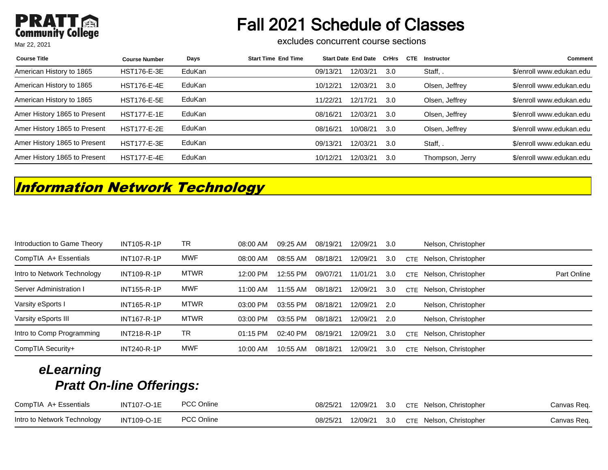# Fall 2021 Schedule of Classes

excludes concurrent course sections

| <b>Course Title</b>          | <b>Course Number</b> | Days   | <b>Start Time End Time</b> |          | <b>Start Date End Date</b> | CrHrs | <b>CTE</b> | <b>Instructor</b> | <b>Comment</b>           |
|------------------------------|----------------------|--------|----------------------------|----------|----------------------------|-------|------------|-------------------|--------------------------|
| American History to 1865     | <b>HST176-E-3E</b>   | EduKan |                            | 09/13/21 | 12/03/21                   | 3.0   |            | Staff,            | \$/enroll www.edukan.edu |
| American History to 1865     | <b>HST176-E-4E</b>   | EduKan |                            | 10/12/21 | 12/03/21                   | -3.0  |            | Olsen, Jeffrey    | \$/enroll www.edukan.edu |
| American History to 1865     | <b>HST176-E-5E</b>   | EduKan |                            | 11/22/21 | 12/17/21                   | -3.0  |            | Olsen, Jeffrey    | \$/enroll www.edukan.edu |
| Amer History 1865 to Present | <b>HST177-E-1E</b>   | EduKan |                            | 08/16/21 | 12/03/21                   | 3.0   |            | Olsen, Jeffrey    | \$/enroll www.edukan.edu |
| Amer History 1865 to Present | <b>HST177-E-2E</b>   | EduKan |                            | 08/16/21 | 10/08/21                   | 3.0   |            | Olsen, Jeffrey    | \$/enroll www.edukan.edu |
| Amer History 1865 to Present | <b>HST177-E-3E</b>   | EduKan |                            | 09/13/21 | 12/03/21                   | 3.0   |            | Staff,            | \$/enroll www.edukan.edu |
| Amer History 1865 to Present | <b>HST177-E-4E</b>   | EduKan |                            | 10/12/21 | 12/03/21                   | 3.0   |            | Thompson, Jerry   | \$/enroll www.edukan.edu |

## **Information Network Technology**

| Introduction to Game Theory | <b>INT105-R-1P</b> | TR          | 08:00 AM   | 09:25 AM | 08/19/21 | 12/09/21 | 3.0 |            | Nelson, Christopher |             |
|-----------------------------|--------------------|-------------|------------|----------|----------|----------|-----|------------|---------------------|-------------|
| CompTIA A+ Essentials       | <b>INT107-R-1P</b> | <b>MWF</b>  | 08:00 AM   | 08:55 AM | 08/18/21 | 12/09/21 | 3.0 | <b>CTF</b> | Nelson, Christopher |             |
| Intro to Network Technology | <b>INT109-R-1P</b> | <b>MTWR</b> | 12:00 PM   | 12:55 PM | 09/07/21 | 11/01/21 | 3.0 | <b>CTE</b> | Nelson, Christopher | Part Online |
| Server Administration I     | <b>INT155-R-1P</b> | <b>MWF</b>  | 11:00 AM   | 11:55 AM | 08/18/21 | 12/09/21 | 3.0 | <b>CTF</b> | Nelson, Christopher |             |
| Varsity eSports I           | <b>INT165-R-1P</b> | <b>MTWR</b> | 03:00 PM   | 03:55 PM | 08/18/21 | 12/09/21 | 2.0 |            | Nelson, Christopher |             |
| Varsity eSports III         | <b>INT167-R-1P</b> | <b>MTWR</b> | 03:00 PM   | 03:55 PM | 08/18/21 | 12/09/21 | 2.0 |            | Nelson, Christopher |             |
| Intro to Comp Programming   | <b>INT218-R-1P</b> | TR          | $01:15$ PM | 02:40 PM | 08/19/21 | 12/09/21 | 3.0 | <b>CTE</b> | Nelson, Christopher |             |
| CompTIA Security+           | <b>INT240-R-1P</b> | <b>MWF</b>  | $10:00$ AM | 10:55 AM | 08/18/21 | 12/09/21 | 3.0 | CTE.       | Nelson, Christopher |             |

| CompTIA A+ Essentials       | <b>INT107-O-1E</b> | <b>PCC Online</b> | 08/25/21 |  | 12/09/21 3.0 CTE Nelson, Christopher | Canvas Req. |
|-----------------------------|--------------------|-------------------|----------|--|--------------------------------------|-------------|
| Intro to Network Technology | INT109-O-1E        | <b>PCC Online</b> | 08/25/21 |  | 12/09/21 3.0 CTE Nelson, Christopher | Canvas Req. |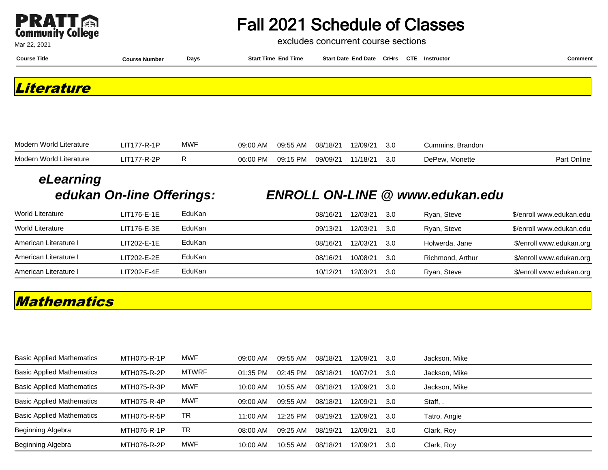

excludes concurrent course sections

| <b>Course Title</b> | <b>Course Number</b> | Days | <b>Start Time End Time</b> | Start Date End Date CrHrs CTE Instructor |  | Comment |
|---------------------|----------------------|------|----------------------------|------------------------------------------|--|---------|
| Literature          |                      |      |                            |                                          |  |         |
|                     |                      |      |                            |                                          |  |         |

| Modern World Literature | ⊔IT177-R-1P | <b>MWF</b> | 09:00 AM | 09:55 AM | 08/18/21 | 12/09/21 | 3.0 | Cummins, Brandon |             |
|-------------------------|-------------|------------|----------|----------|----------|----------|-----|------------------|-------------|
| Modern World Literature | IT177-R-2P  |            | 06:00 PM | 09:15 PM | 09/09/21 | 1/18/21  | 3.0 | DePew, Monette   | Part Online |

# **eLearning**

### **edukan On-line Offerings: ENROLL ON-LINE @ www.edukan.edu**

| <b>World Literature</b> | LIT176-E-1E   | EduKan | 08/16/21 | 12/03/21 | .3.O | Ryan, Steve      | \$/enroll www.edukan.edu |
|-------------------------|---------------|--------|----------|----------|------|------------------|--------------------------|
| <b>World Literature</b> | LIT176-E-3E   | EduKan | 09/13/21 | 12/03/21 | 3.0  | Ryan, Steve      | \$/enroll www.edukan.edu |
| American Literature I   | $LIT202-E-1E$ | EduKan | 08/16/21 | 12/03/21 | .3.O | Holwerda, Jane   | \$/enroll www.edukan.org |
| American Literature I   | LIT202-E-2E   | EduKan | 08/16/21 | 10/08/21 | .3.O | Richmond, Arthur | \$/enroll www.edukan.org |
| American Literature I   | LIT202-E-4E   | EduKan | 10/12/21 | 12/03/21 | .3.O | Ryan, Steve      | \$/enroll www.edukan.org |

### **Mathematics**

| <b>Basic Applied Mathematics</b> | MTH075-R-1P | <b>MWF</b>   | 09:00 AM   | 09:55 AM   | 08/18/21 | 12/09/21 | 3.0 | Jackson, Mike |
|----------------------------------|-------------|--------------|------------|------------|----------|----------|-----|---------------|
| <b>Basic Applied Mathematics</b> | MTH075-R-2P | <b>MTWRF</b> | 01:35 PM   | $02:45$ PM | 08/18/21 | 10/07/21 | 3.0 | Jackson, Mike |
| <b>Basic Applied Mathematics</b> | MTH075-R-3P | <b>MWF</b>   | $10:00$ AM | $10:55$ AM | 08/18/21 | 12/09/21 | 3.0 | Jackson, Mike |
| <b>Basic Applied Mathematics</b> | MTH075-R-4P | <b>MWF</b>   | 09:00 AM   | 09:55 AM   | 08/18/21 | 12/09/21 | 3.0 | Staff,.       |
| <b>Basic Applied Mathematics</b> | MTH075-R-5P | ТR           | $11:00$ AM | $12:25$ PM | 08/19/21 | 12/09/21 | 3.0 | Tatro, Angie  |
| Beginning Algebra                | MTH076-R-1P | ТR           | 08:00 AM   | 09:25 AM   | 08/19/21 | 12/09/21 | 3.0 | Clark, Roy    |
| Beginning Algebra                | MTH076-R-2P | <b>MWF</b>   | $10:00$ AM | $10:55$ AM | 08/18/21 | 12/09/21 | 3.0 | Clark, Roy    |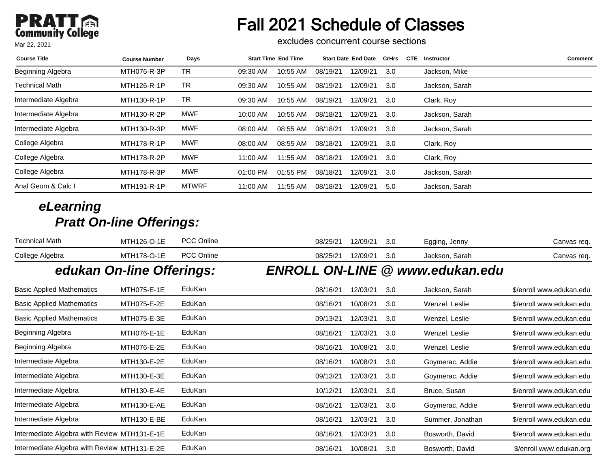# Fall 2021 Schedule of Classes

excludes concurrent course sections

| <b>Course Title</b>   | <b>Course Number</b> | Days         | <b>Start Time End Time</b> |          | <b>Start Date End Date</b> | <b>CrHrs</b> | <b>CTE</b> | Instructor     | Comment |
|-----------------------|----------------------|--------------|----------------------------|----------|----------------------------|--------------|------------|----------------|---------|
| Beginning Algebra     | MTH076-R-3P          | TR           | 10:55 AM<br>09:30 AM       | 08/19/21 | 12/09/21                   | 3.0          |            | Jackson, Mike  |         |
| <b>Technical Math</b> | MTH126-R-1P          | TR           | 09:30 AM<br>10:55 AM       | 08/19/21 | 12/09/21                   | 3.0          |            | Jackson, Sarah |         |
| Intermediate Algebra  | MTH130-R-1P          | TR           | 09:30 AM<br>10:55 AM       | 08/19/21 | 12/09/21                   | 3.0          |            | Clark, Roy     |         |
| Intermediate Algebra  | MTH130-R-2P          | <b>MWF</b>   | 10:00 AM<br>10:55 AM       | 08/18/21 | 12/09/21                   | 3.0          |            | Jackson, Sarah |         |
| Intermediate Algebra  | MTH130-R-3P          | <b>MWF</b>   | 08:00 AM<br>08:55 AM       | 08/18/21 | 12/09/21                   | 3.0          |            | Jackson, Sarah |         |
| College Algebra       | <b>MTH178-R-1P</b>   | <b>MWF</b>   | 08:00 AM<br>08:55 AM       | 08/18/21 | 12/09/21                   | 3.0          |            | Clark, Roy     |         |
| College Algebra       | MTH178-R-2P          | <b>MWF</b>   | 11:55 AM<br>11:00 AM       | 08/18/21 | 12/09/21                   | 3.0          |            | Clark, Roy     |         |
| College Algebra       | MTH178-R-3P          | <b>MWF</b>   | 01:55 PM<br>$01:00$ PM     | 08/18/21 | 12/09/21                   | 3.0          |            | Jackson, Sarah |         |
| Anal Geom & Calc I    | <b>MTH191-R-1P</b>   | <b>MTWRF</b> | 11:00 AM<br>11:55 AM       | 08/18/21 | 12/09/21                   | 5.0          |            | Jackson, Sarah |         |

| <b>Technical Math</b>                        | MTH126-O-1E               | PCC Online        | 08/25/21 | 12/09/21 | 3.0 | Egging, Jenny                          | Canvas req.              |
|----------------------------------------------|---------------------------|-------------------|----------|----------|-----|----------------------------------------|--------------------------|
| College Algebra                              | MTH178-O-1E               | <b>PCC Online</b> | 08/25/21 | 12/09/21 | 3.0 | Jackson, Sarah                         | Canvas req.              |
|                                              | edukan On-line Offerings: |                   |          |          |     | <b>ENROLL ON-LINE @ www.edukan.edu</b> |                          |
| <b>Basic Applied Mathematics</b>             | MTH075-E-1E               | EduKan            | 08/16/21 | 12/03/21 | 3.0 | Jackson, Sarah                         | \$/enroll www.edukan.edu |
| <b>Basic Applied Mathematics</b>             | MTH075-E-2E               | EduKan            | 08/16/21 | 10/08/21 | 3.0 | Wenzel, Leslie                         | \$/enroll www.edukan.edu |
| <b>Basic Applied Mathematics</b>             | MTH075-E-3E               | EduKan            | 09/13/21 | 12/03/21 | 3.0 | Wenzel, Leslie                         | \$/enroll www.edukan.edu |
| Beginning Algebra                            | MTH076-E-1E               | EduKan            | 08/16/21 | 12/03/21 | 3.0 | Wenzel, Leslie                         | \$/enroll www.edukan.edu |
| Beginning Algebra                            | MTH076-E-2E               | EduKan            | 08/16/21 | 10/08/21 | 3.0 | Wenzel, Leslie                         | \$/enroll www.edukan.edu |
| Intermediate Algebra                         | MTH130-E-2E               | EduKan            | 08/16/21 | 10/08/21 | 3.0 | Goymerac, Addie                        | \$/enroll www.edukan.edu |
| Intermediate Algebra                         | MTH130-E-3E               | EduKan            | 09/13/21 | 12/03/21 | 3.0 | Goymerac, Addie                        | \$/enroll www.edukan.edu |
| Intermediate Algebra                         | MTH130-E-4E               | EduKan            | 10/12/21 | 12/03/21 | 3.0 | Bruce, Susan                           | \$/enroll www.edukan.edu |
| Intermediate Algebra                         | MTH130-E-AE               | EduKan            | 08/16/21 | 12/03/21 | 3.0 | Goymerac, Addie                        | \$/enroll www.edukan.edu |
| Intermediate Algebra                         | <b>MTH130-E-BE</b>        | EduKan            | 08/16/21 | 12/03/21 | 3.0 | Summer, Jonathan                       | \$/enroll www.edukan.edu |
| Intermediate Algebra with Review MTH131-E-1E |                           | EduKan            | 08/16/21 | 12/03/21 | 3.0 | Bosworth, David                        | \$/enroll www.edukan.edu |
| Intermediate Algebra with Review MTH131-E-2E |                           | EduKan            | 08/16/21 | 10/08/21 | 3.0 | Bosworth, David                        | \$/enroll www.edukan.org |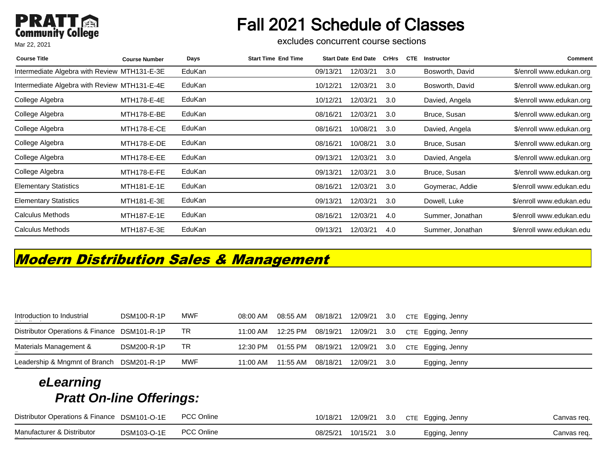# Fall 2021 Schedule of Classes

excludes concurrent course sections

| <b>Course Title</b>                          | <b>Course Number</b> | Days   | <b>Start Time End Time</b> |          | <b>Start Date End Date</b> | <b>CrHrs</b> | <b>CTE</b> | Instructor       | Comment                  |
|----------------------------------------------|----------------------|--------|----------------------------|----------|----------------------------|--------------|------------|------------------|--------------------------|
| Intermediate Algebra with Review MTH131-E-3E |                      | EduKan |                            | 09/13/21 | 12/03/21                   | 3.0          |            | Bosworth, David  | \$/enroll www.edukan.org |
| Intermediate Algebra with Review MTH131-E-4E |                      | EduKan |                            | 10/12/21 | 12/03/21                   | 3.0          |            | Bosworth, David  | \$/enroll www.edukan.org |
| College Algebra                              | MTH178-E-4E          | EduKan |                            | 10/12/21 | 12/03/21                   | 3.0          |            | Davied, Angela   | \$/enroll www.edukan.org |
| College Algebra                              | MTH178-E-BE          | EduKan |                            | 08/16/21 | 12/03/21                   | 3.0          |            | Bruce, Susan     | \$/enroll www.edukan.org |
| College Algebra                              | MTH178-E-CE          | EduKan |                            | 08/16/21 | 10/08/21                   | 3.0          |            | Davied, Angela   | \$/enroll www.edukan.org |
| College Algebra                              | MTH178-E-DE          | EduKan |                            | 08/16/21 | 10/08/21                   | 3.0          |            | Bruce, Susan     | \$/enroll www.edukan.org |
| College Algebra                              | MTH178-E-EE          | EduKan |                            | 09/13/21 | 12/03/21                   | 3.0          |            | Davied, Angela   | \$/enroll www.edukan.org |
| College Algebra                              | MTH178-E-FE          | EduKan |                            | 09/13/21 | 12/03/21                   | 3.0          |            | Bruce, Susan     | \$/enroll www.edukan.org |
| <b>Elementary Statistics</b>                 | MTH181-E-1E          | EduKan |                            | 08/16/21 | 12/03/21                   | 3.0          |            | Goymerac, Addie  | \$/enroll www.edukan.edu |
| <b>Elementary Statistics</b>                 | MTH181-E-3E          | EduKan |                            | 09/13/21 | 12/03/21                   | 3.0          |            | Dowell, Luke     | \$/enroll www.edukan.edu |
| <b>Calculus Methods</b>                      | MTH187-E-1E          | EduKan |                            | 08/16/21 | 12/03/21                   | 4.0          |            | Summer, Jonathan | \$/enroll www.edukan.edu |
| <b>Calculus Methods</b>                      | MTH187-E-3E          | EduKan |                            | 09/13/21 | 12/03/21                   | 4.0          |            | Summer, Jonathan | \$/enroll www.edukan.edu |

## **Modern Distribution Sales & Management**

| Introduction to Industrial                   | <b>DSM100-R-1P</b> | MWF | 08:00 AM | 08:55 AM | 08/18/21 | 12/09/21 | 3.0   | CTE Egging, Jenny |
|----------------------------------------------|--------------------|-----|----------|----------|----------|----------|-------|-------------------|
| Distributor Operations & Finance DSM101-R-1P |                    | TR  | 11:00 AM | 12:25 PM | 08/19/21 | 12/09/21 | - 3.0 | CTE Egging, Jenny |
| Materials Management &                       | <b>DSM200-R-1P</b> | TR  | 12:30 PM | 01:55 PM | 08/19/21 | 12/09/21 | 3.0   | CTE Egging, Jenny |
| Leadership & Mngmnt of Branch                | DSM201-R-1P        | MWF | 11:00 AM | 11:55 AM | 08/18/21 | 12/09/21 | -3.0  | Egging, Jenny     |
|                                              |                    |     |          |          |          |          |       |                   |

| Distributor Operations & Finance DSM101-O-1E |             | <b>PCC Online</b> | 10/18/21 |                       | 12/09/21 3.0 CTE Egging, Jenny | Canvas req. |
|----------------------------------------------|-------------|-------------------|----------|-----------------------|--------------------------------|-------------|
| Manufacturer & Distributor<br>_ _ _ _        | DSM103-O-1E | PCC Online        |          | 08/25/21 10/15/21 3.0 | Egging, Jenny                  | Canvas reg. |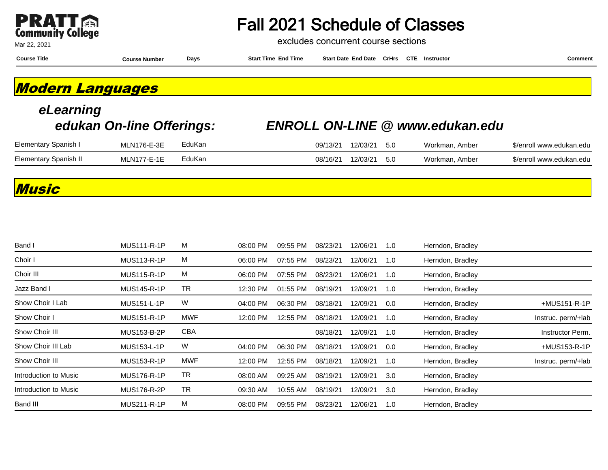

excludes concurrent course sections

**Course Title Course Number Days Start Time End Time Start Date End Date CrHrs Instructor Comment CTE**

**Modern Languages**

| eLearning             | edukan On-line Offerings: |        | <b>ENROLL ON-LINE @ www.edukan.edu</b> |          |      |                |                          |
|-----------------------|---------------------------|--------|----------------------------------------|----------|------|----------------|--------------------------|
| Elementary Spanish I  | MLN176-E-3E               | EduKan | 09/13/21                               | 12/03/21 | -5.0 | Workman, Amber | \$/enroll www.edukan.edu |
| Elementary Spanish II | MLN177-E-1E               | EduKan | 08/16/21                               | 12/03/21 | 5.0  | Workman, Amber | \$/enroll www.edukan.edu |

#### **Music**

| Band I                | <b>MUS111-R-1P</b> | M   | 08:00 PM | 09:55 PM | 08/23/21 | 12/06/21 | 1.0     | Herndon, Bradley |                    |
|-----------------------|--------------------|-----|----------|----------|----------|----------|---------|------------------|--------------------|
| Choir I               | <b>MUS113-R-1P</b> | М   | 06:00 PM | 07:55 PM | 08/23/21 | 12/06/21 | 1.0     | Herndon, Bradley |                    |
| Choir III             | <b>MUS115-R-1P</b> | М   | 06:00 PM | 07:55 PM | 08/23/21 | 12/06/21 | 1.0     | Herndon, Bradley |                    |
| Jazz Band I           | <b>MUS145-R-1P</b> | TR  | 12:30 PM | 01:55 PM | 08/19/21 | 12/09/21 | 1.0     | Herndon, Bradley |                    |
| Show Choir I Lab      | <b>MUS151-L-1P</b> | W   | 04:00 PM | 06:30 PM | 08/18/21 | 12/09/21 | $0.0\,$ | Herndon, Bradley | +MUS151-R-1P       |
| Show Choir I          | <b>MUS151-R-1P</b> | MWF | 12:00 PM | 12:55 PM | 08/18/21 | 12/09/21 | 1.0     | Herndon, Bradley | Instruc. perm/+lab |
| Show Choir III        | MUS153-B-2P        | CBA |          |          | 08/18/21 | 12/09/21 | 1.0     | Herndon, Bradley | Instructor Perm.   |
| Show Choir III Lab    | <b>MUS153-L-1P</b> | W   | 04:00 PM | 06:30 PM | 08/18/21 | 12/09/21 | 0.0     | Herndon, Bradley | +MUS153-R-1P       |
| Show Choir III        | MUS153-R-1P        | MWF | 12:00 PM | 12:55 PM | 08/18/21 | 12/09/21 | 1.0     | Herndon, Bradley | Instruc. perm/+lab |
| Introduction to Music | <b>MUS176-R-1P</b> | TR  | 08:00 AM | 09:25 AM | 08/19/21 | 12/09/21 | 3.0     | Herndon, Bradley |                    |
| Introduction to Music | <b>MUS176-R-2P</b> | TR  | 09:30 AM | 10:55 AM | 08/19/21 | 12/09/21 | 3.0     | Herndon, Bradley |                    |
| Band III              | <b>MUS211-R-1P</b> | М   | 08:00 PM | 09:55 PM | 08/23/21 | 12/06/21 | 1.0     | Herndon, Bradley |                    |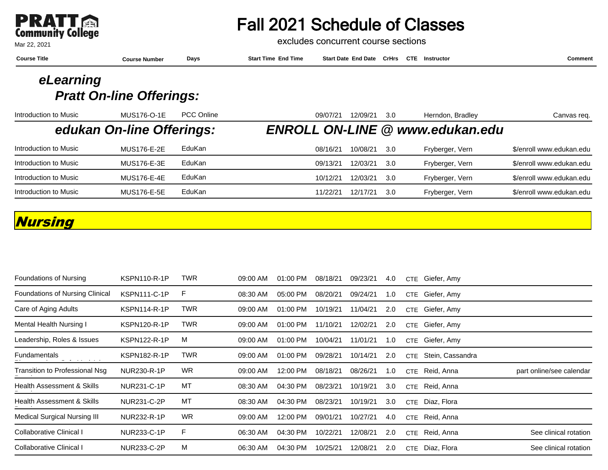

excludes concurrent course sections

| <b>Course Title</b>                          | <b>Course Number</b> | Days | <b>Start Time End Time</b> | <b>Start Date End Date</b> |  | CrHrs CTE Instructor | Comment |
|----------------------------------------------|----------------------|------|----------------------------|----------------------------|--|----------------------|---------|
| eLearning<br><b>Pratt On-line Offerings:</b> |                      |      |                            |                            |  |                      |         |

| Introduction to Music | MUS176-O-1E               | <b>PCC Online</b> | 09/07/21 | 12/09/21 | 3.0  | Herndon, Bradley                       | Canvas req.              |
|-----------------------|---------------------------|-------------------|----------|----------|------|----------------------------------------|--------------------------|
|                       | edukan On-line Offerings: |                   |          |          |      | <b>ENROLL ON-LINE @ www.edukan.edu</b> |                          |
| Introduction to Music | <b>MUS176-E-2E</b>        | EduKan            | 08/16/21 | 10/08/21 | -3.0 | Fryberger, Vern                        | \$/enroll www.edukan.edu |
| Introduction to Music | <b>MUS176-E-3E</b>        | EduKan            | 09/13/21 | 12/03/21 | -3.0 | Fryberger, Vern                        | \$/enroll www.edukan.edu |
| Introduction to Music | <b>MUS176-E-4E</b>        | EduKan            | 10/12/21 | 12/03/21 | -3.0 | Fryberger, Vern                        | \$/enroll www.edukan.edu |
| Introduction to Music | <b>MUS176-E-5E</b>        | EduKan            | 11/22/21 | 12/17/21 | -3.0 | Fryberger, Vern                        | \$/enroll www.edukan.edu |

## **Nursing**

| Foundations of Nursing                      | <b>KSPN110-R-1P</b> | <b>TWR</b> | 09:00 AM | 01:00 PM | 08/18/21 | 09/23/21 | 4.0 |            | CTE Giefer, Amy  |                          |
|---------------------------------------------|---------------------|------------|----------|----------|----------|----------|-----|------------|------------------|--------------------------|
| Foundations of Nursing Clinical             | <b>KSPN111-C-1P</b> | F          | 08:30 AM | 05:00 PM | 08/20/21 | 09/24/21 | 1.0 |            | CTE Giefer, Amy  |                          |
| Care of Aging Adults                        | KSPN114-R-1P        | <b>TWR</b> | 09:00 AM | 01:00 PM | 10/19/21 | 11/04/21 | 2.0 |            | CTE Giefer, Amy  |                          |
| Mental Health Nursing I                     | <b>KSPN120-R-1P</b> | <b>TWR</b> | 09:00 AM | 01:00 PM | 11/10/21 | 12/02/21 | 2.0 | <b>CTE</b> | Giefer, Amy      |                          |
| Leadership, Roles & Issues                  | <b>KSPN122-R-1P</b> | м          | 09:00 AM | 01:00 PM | 10/04/21 | 11/01/21 | 1.0 | <b>CTE</b> | Giefer, Amy      |                          |
| <b>Fundamentals</b><br><b>-</b> - - - - - - | <b>KSPN182-R-1P</b> | <b>TWR</b> | 09:00 AM | 01:00 PM | 09/28/21 | 10/14/21 | 2.0 | CTE        | Stein, Cassandra |                          |
| Transition to Professional Nsg              | NUR230-R-1P         | <b>WR</b>  | 09:00 AM | 12:00 PM | 08/18/21 | 08/26/21 | 1.0 | <b>CTE</b> | Reid, Anna       | part online/see calendar |
| Health Assessment & Skills                  | NUR231-C-1P         | MT         | 08:30 AM | 04:30 PM | 08/23/21 | 10/19/21 | 3.0 | <b>CTE</b> | Reid, Anna       |                          |
| Health Assessment & Skills                  | <b>NUR231-C-2P</b>  | MT         | 08:30 AM | 04:30 PM | 08/23/21 | 10/19/21 | 3.0 |            | CTE Diaz, Flora  |                          |
| <b>Medical Surgical Nursing III</b>         | NUR232-R-1P         | <b>WR</b>  | 09:00 AM | 12:00 PM | 09/01/21 | 10/27/21 | 4.0 | <b>CTE</b> | Reid, Anna       |                          |
| Collaborative Clinical I                    | NUR233-C-1P         | F.         | 06:30 AM | 04:30 PM | 10/22/21 | 12/08/21 | 2.0 | <b>CTE</b> | Reid, Anna       | See clinical rotation    |
| Collaborative Clinical I                    | NUR233-C-2P         | M          | 06:30 AM | 04:30 PM | 10/25/21 | 12/08/21 | 2.0 | <b>CTE</b> | Diaz, Flora      | See clinical rotation    |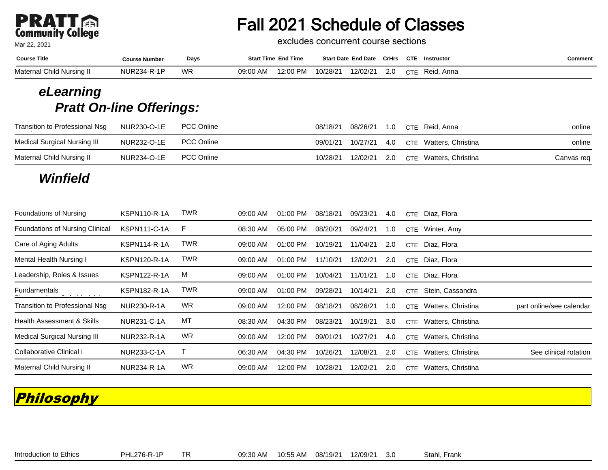# **PRATT**

Mar 22, 2021

# Fall 2021 Schedule of Classes

excludes concurrent course sections

| <b>Course Title</b>       | Course Number      | Days      |          | <b>Start Time End Time</b> |          | Start Date End Date CrHrs |     | CTE | Instructor     | こomment |
|---------------------------|--------------------|-----------|----------|----------------------------|----------|---------------------------|-----|-----|----------------|---------|
| Maternal Child Nursing II | <b>NUR234-R-1P</b> | <b>WR</b> | 09:00 AM | 12:00 PM                   | 10/28/21 | 12/02/21                  | 2.0 |     | CTE Reid, Anna |         |

### **eLearning Pratt On-line Offerings:**

| <b>Transition to Professional Nsg</b><br>the contract of the contract of the contract of the contract of the contract of | NUR230-O-1E PCC Online |            |          |  | 08/18/21 08/26/21 1.0 CTE Reid, Anna         | online     |
|--------------------------------------------------------------------------------------------------------------------------|------------------------|------------|----------|--|----------------------------------------------|------------|
| Medical Surgical Nursing III                                                                                             | NUR232-O-1E PCC Online |            |          |  | 09/01/21 10/27/21 4.0 CTE Watters, Christina | online     |
| Maternal Child Nursing II                                                                                                | NUR234-O-1E            | PCC Online | 10/28/21 |  | 12/02/21 2.0 CTE Watters, Christina          | Canvas req |

## **Winfield**

| Foundations of Nursing                 | <b>KSPN110-R-1A</b> | TWR        | 09:00 AM | 01:00 PM   | 08/18/21 | 09/23/21 | 4.0 | <b>CTE</b> | Diaz, Flora        |                          |
|----------------------------------------|---------------------|------------|----------|------------|----------|----------|-----|------------|--------------------|--------------------------|
| <b>Foundations of Nursing Clinical</b> | <b>KSPN111-C-1A</b> | F          | 08:30 AM | 05:00 PM   | 08/20/21 | 09/24/21 | 1.0 | CTE        | Winter, Amy        |                          |
| Care of Aging Adults                   | <b>KSPN114-R-1A</b> | TWR        | 09:00 AM | $01:00$ PM | 10/19/21 | 11/04/21 | 2.0 | CTE        | Diaz, Flora        |                          |
| Mental Health Nursing I                | <b>KSPN120-R-1A</b> | <b>TWR</b> | 09:00 AM | 01:00 PM   | 11/10/21 | 12/02/21 | 2.0 | CTE        | Diaz, Flora        |                          |
| Leadership, Roles & Issues             | <b>KSPN122-R-1A</b> | м          | 09:00 AM | 01:00 PM   | 10/04/21 | 11/01/21 | 1.0 | CTE        | Diaz, Flora        |                          |
| Fundamentals                           | <b>KSPN182-R-1A</b> | TWR        | 09:00 AM | 01:00 PM   | 09/28/21 | 10/14/21 | 2.0 | <b>CTE</b> | Stein, Cassandra   |                          |
| Transition to Professional Nsg         | NUR230-R-1A         | <b>WR</b>  | 09:00 AM | 12:00 PM   | 08/18/21 | 08/26/21 | 1.0 | CTE        | Watters, Christina | part online/see calendar |
| Health Assessment & Skills             | <b>NUR231-C-1A</b>  | МT         | 08:30 AM | 04:30 PM   | 08/23/21 | 10/19/21 | 3.0 | <b>CTE</b> | Watters, Christina |                          |
| <b>Medical Surgical Nursing III</b>    | NUR232-R-1A         | WR         | 09:00 AM | 12:00 PM   | 09/01/21 | 10/27/21 | 4.0 | CTE        | Watters, Christina |                          |
| Collaborative Clinical I               | <b>NUR233-C-1A</b>  |            | 06:30 AM | 04:30 PM   | 10/26/21 | 12/08/21 | 2.0 | CTE        | Watters, Christina | See clinical rotation    |
| Maternal Child Nursing II              | NUR234-R-1A         | <b>WR</b>  | 09:00 AM | 12:00 PM   | 10/28/21 | 12/02/21 | 2.0 | CTE        | Watters, Christina |                          |

## **Philosophy**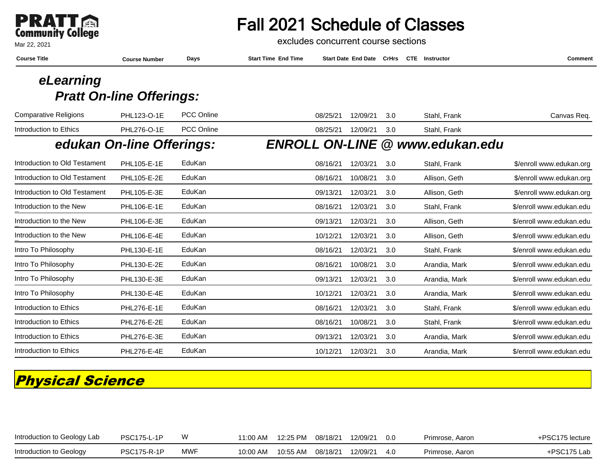

#### Mar 22, 2021

## Fall 2021 Schedule of Classes

excludes concurrent course sections

| <b>Course Number</b> | Days              | <b>Start Time End Time</b>                                   |          |          |                            |               | Comment                                                         |
|----------------------|-------------------|--------------------------------------------------------------|----------|----------|----------------------------|---------------|-----------------------------------------------------------------|
|                      |                   |                                                              |          |          |                            |               |                                                                 |
|                      |                   |                                                              |          |          |                            |               |                                                                 |
| PHL123-O-1E          | <b>PCC Online</b> |                                                              | 08/25/21 | 12/09/21 | 3.0                        | Stahl, Frank  | Canvas Req.                                                     |
| PHL276-O-1E          | <b>PCC Online</b> |                                                              | 08/25/21 | 12/09/21 | 3.0                        | Stahl, Frank  |                                                                 |
|                      |                   |                                                              |          |          |                            |               |                                                                 |
| PHL105-E-1E          | EduKan            |                                                              | 08/16/21 | 12/03/21 | 3.0                        | Stahl, Frank  | \$/enroll www.edukan.org                                        |
| PHL105-E-2E          | EduKan            |                                                              | 08/16/21 | 10/08/21 | 3.0                        | Allison, Geth | \$/enroll www.edukan.org                                        |
| PHL105-E-3E          | EduKan            |                                                              | 09/13/21 | 12/03/21 | 3.0                        | Allison, Geth | \$/enroll www.edukan.org                                        |
| PHL106-E-1E          | EduKan            |                                                              | 08/16/21 | 12/03/21 | 3.0                        | Stahl, Frank  | \$/enroll www.edukan.edu                                        |
| PHL106-E-3E          | EduKan            |                                                              | 09/13/21 | 12/03/21 | 3.0                        | Allison, Geth | \$/enroll www.edukan.edu                                        |
| PHL106-E-4E          | EduKan            |                                                              | 10/12/21 | 12/03/21 | 3.0                        | Allison, Geth | \$/enroll www.edukan.edu                                        |
| PHL130-E-1E          | EduKan            |                                                              | 08/16/21 | 12/03/21 | 3.0                        | Stahl, Frank  | \$/enroll www.edukan.edu                                        |
| PHL130-E-2E          | EduKan            |                                                              | 08/16/21 | 10/08/21 | 3.0                        | Arandia, Mark | \$/enroll www.edukan.edu                                        |
| PHL130-E-3E          | EduKan            |                                                              | 09/13/21 | 12/03/21 | 3.0                        | Arandia, Mark | \$/enroll www.edukan.edu                                        |
| PHL130-E-4E          | EduKan            |                                                              | 10/12/21 | 12/03/21 | 3.0                        | Arandia, Mark | \$/enroll www.edukan.edu                                        |
| PHL276-E-1E          | EduKan            |                                                              | 08/16/21 | 12/03/21 | 3.0                        | Stahl, Frank  | \$/enroll www.edukan.edu                                        |
| PHL276-E-2E          | EduKan            |                                                              | 08/16/21 | 10/08/21 | 3.0                        | Stahl, Frank  | \$/enroll www.edukan.edu                                        |
| PHL276-E-3E          | EduKan            |                                                              | 09/13/21 | 12/03/21 | 3.0                        | Arandia, Mark | \$/enroll www.edukan.edu                                        |
| <b>PHL276-E-4E</b>   | EduKan            |                                                              | 10/12/21 | 12/03/21 | 3.0                        | Arandia, Mark | \$/enroll www.edukan.edu                                        |
|                      |                   | <b>Pratt On-line Offerings:</b><br>edukan On-line Offerings: |          |          | <b>Start Date End Date</b> | CrHrs         | <b>CTE</b> Instructor<br><b>ENROLL ON-LINE @ www.edukan.edu</b> |

## **Physical Science**

| Introduction to Geology Lab | <b>PSC175-L-1P</b> | w   | 11:00 AM | 12:25 PM | 08/18/21 | 12/09/21 | 0.0 | Primrose, Aaron | ⊦PSC175 lecture |
|-----------------------------|--------------------|-----|----------|----------|----------|----------|-----|-----------------|-----------------|
| Introduction to Geology     | <b>PSC175-R-1P</b> | MWF | 10:00 AM | 10:55 AM | 08/18/21 | 12/09/21 | 4.0 | Primrose, Aaron | +PSC175 Lab     |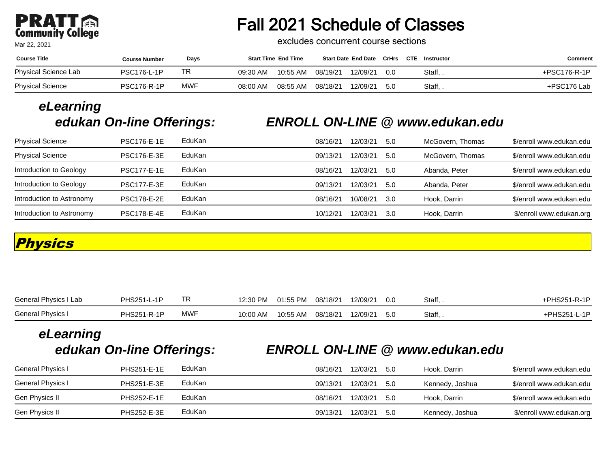# **PRATT**

Mar 22, 2021

# Fall 2021 Schedule of Classes

excludes concurrent course sections

| <b>Course Title</b>  | <b>Course Number</b> | Days       | <b>Start Time End Time</b> | <b>Start Date End Date CrHrs</b> |     | <b>CTE</b><br>Instructor | Comment      |
|----------------------|----------------------|------------|----------------------------|----------------------------------|-----|--------------------------|--------------|
| Physical Science Lab | <b>PSC176-L-1P</b>   | TR.        | 10:55 AM<br>09:30 AM       | 12/09/21<br>08/19/21             | 0.0 | Staff, .                 | +PSC176-R-1P |
| Physical Science     | <b>PSC176-R-1P</b>   | <b>MWF</b> | 08:00 AM<br>08:55 AM       | 12/09/21<br>08/18/21             | 5.0 | Staff, .                 | +PSC176 Lab  |

# **eLearning**

### **edukan On-line Offerings: ENROLL ON-LINE @ www.edukan.edu**

| <b>Physical Science</b>   | <b>PSC176-E-1E</b> | EduKan | 08/16/21 | 12/03/21 | 5.0 | McGovern, Thomas | \$/enroll www.edukan.edu |
|---------------------------|--------------------|--------|----------|----------|-----|------------------|--------------------------|
| <b>Physical Science</b>   | <b>PSC176-E-3E</b> | EduKan | 09/13/21 | 12/03/21 | 5.0 | McGovern, Thomas | \$/enroll www.edukan.edu |
| Introduction to Geology   | <b>PSC177-E-1E</b> | EduKan | 08/16/21 | 12/03/21 | 5.0 | Abanda, Peter    | \$/enroll www.edukan.edu |
| Introduction to Geology   | <b>PSC177-E-3E</b> | EduKan | 09/13/21 | 12/03/21 | 5.0 | Abanda, Peter    | \$/enroll www.edukan.edu |
| Introduction to Astronomy | <b>PSC178-E-2E</b> | EduKan | 08/16/21 | 10/08/21 | 3.0 | Hook, Darrin     | \$/enroll www.edukan.edu |
| Introduction to Astronomy | <b>PSC178-E-4E</b> | EduKan | 10/12/21 | 12/03/21 | 3.O | Hook, Darrin     | \$/enroll www.edukan.org |

## **Physics**

| General Physics I Lab | PHS251-L-1P | TR         | 12:30 PM | 01:55 PM | 08/18/21 | 12/09/21 | 0.0 | Staff, . | $+PHS251-R-1P$ |
|-----------------------|-------------|------------|----------|----------|----------|----------|-----|----------|----------------|
| General Physics I     | PHS251-R-1P | <b>MWF</b> | 10:00 AM | 10:55 AM | 08/18/21 | 12/09/21 | 5.0 | Staff,   | +PHS251-L-1P   |

# **eLearning**

#### **edukan On-line Offerings: ENROLL ON-LINE @ www.edukan.edu**

| General Physics I | <b>PHS251-E-1E</b> | EduKan | 08/16/21 | 12/03/21 | -5.0 | Hook, Darrin    | \$/enroll www.edukan.edu |
|-------------------|--------------------|--------|----------|----------|------|-----------------|--------------------------|
| General Physics I | <b>PHS251-E-3E</b> | EduKan | 09/13/21 | 12/03/21 | -5.0 | Kennedy, Joshua | \$/enroll www.edukan.edu |
| Gen Physics II    | <b>PHS252-E-1E</b> | EduKan | 08/16/21 | 12/03/21 | -50  | Hook. Darrin    | \$/enroll www.edukan.edu |
| Gen Physics II    | <b>PHS252-E-3E</b> | EduKan | 09/13/21 | 12/03/21 | -5.0 | Kennedy, Joshua | \$/enroll www.edukan.org |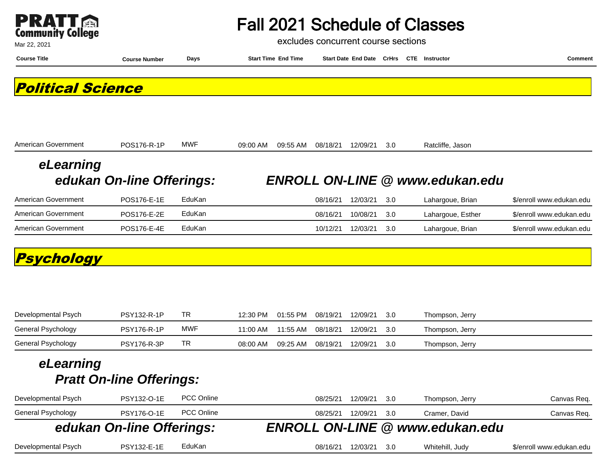| <b>Community College</b> |  |
|--------------------------|--|

excludes concurrent course sections

| Mar 22, 2021             |                           |            |          | excludes concurrent course sections |          |                                          |     |  |                                        |                          |
|--------------------------|---------------------------|------------|----------|-------------------------------------|----------|------------------------------------------|-----|--|----------------------------------------|--------------------------|
| <b>Course Title</b>      | <b>Course Number</b>      | Days       |          | <b>Start Time End Time</b>          |          | Start Date End Date CrHrs CTE Instructor |     |  |                                        | <b>Comment</b>           |
| <b>Political Science</b> |                           |            |          |                                     |          |                                          |     |  |                                        |                          |
| American Government      | POS176-R-1P               | <b>MWF</b> | 09:00 AM | 09:55 AM                            | 08/18/21 | 12/09/21                                 | 3.0 |  | Ratcliffe, Jason                       |                          |
| eLearning                |                           |            |          |                                     |          |                                          |     |  |                                        |                          |
|                          | edukan On-line Offerings: |            |          |                                     |          |                                          |     |  | <b>ENROLL ON-LINE @ www.edukan.edu</b> |                          |
| American Government      | POS176-E-1E               | EduKan     |          |                                     | 08/16/21 | 12/03/21                                 | 3.0 |  | Lahargoue, Brian                       | \$/enroll www.edukan.edu |
| American Government      | POS176-E-2E               | EduKan     |          |                                     | 08/16/21 | 10/08/21                                 | 3.0 |  | Lahargoue, Esther                      | \$/enroll www.edukan.edu |
| American Government      | POS176-E-4E               | EduKan     |          |                                     | 10/12/21 | 12/03/21                                 | 3.0 |  | Lahargoue, Brian                       | \$/enroll www.edukan.edu |
| Psychology               |                           |            |          |                                     |          |                                          |     |  |                                        |                          |
| Developmental Psych      | PSY132-R-1P               | <b>TR</b>  | 12:30 PM | 01:55 PM                            | 08/19/21 | 12/09/21                                 | 3.0 |  | Thompson, Jerry                        |                          |
| General Psychology       | <b>PSY176-R-1P</b>        | <b>MWF</b> | 11:00 AM | 11:55 AM                            | 08/18/21 | 12/09/21                                 | 3.0 |  | Thompson, Jerry                        |                          |
| General Psychology       | <b>PSY176-R-3P</b>        | <b>TR</b>  | 08:00 AM | 09:25 AM                            | 08/19/21 | 12/09/21                                 | 3.0 |  | Thompson, Jerry                        |                          |

| Developmental Psych | PSY132-O-1E               | <b>PCC Online</b> | 12/09/21<br>3.0<br>08/25/21<br>Thompson, Jerry  | Canvas Req.              |
|---------------------|---------------------------|-------------------|-------------------------------------------------|--------------------------|
| General Psychology  | <b>PSY176-O-1E</b>        | <b>PCC Online</b> | 12/09/21<br>08/25/21<br>Cramer, David<br>.3.O   | Canvas Req.              |
|                     | edukan On-line Offerings: |                   | <b>ENROLL ON-LINE @ www.edukan.edu</b>          |                          |
| Developmental Psych | <b>PSY132-E-1E</b>        | EduKan            | 12/03/21<br>Whitehill, Judy<br>08/16/21<br>.3.O | \$/enroll www.edukan.edu |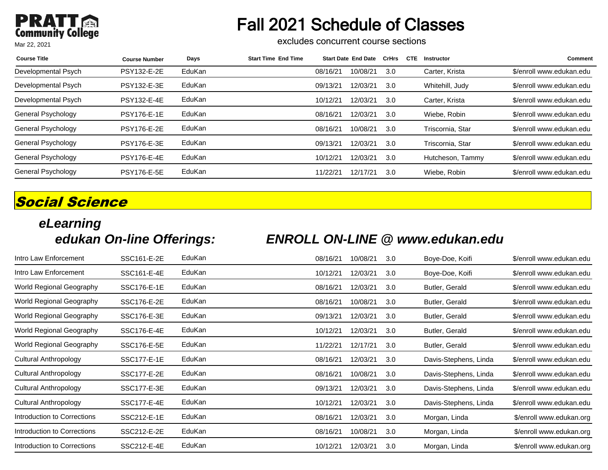#### **PRAT PRATT** Mar 22, 2021

# Fall 2021 Schedule of Classes

excludes concurrent course sections

| <b>Course Title</b> | <b>Course Number</b> | Days   | <b>Start Time End Time</b> |          | <b>Start Date End Date</b> | <b>CrHrs</b> | <b>CTE</b> | Instructor       | <b>Comment</b>           |
|---------------------|----------------------|--------|----------------------------|----------|----------------------------|--------------|------------|------------------|--------------------------|
| Developmental Psych | PSY132-E-2E          | EduKan |                            | 08/16/21 | 10/08/21                   | 3.0          |            | Carter, Krista   | \$/enroll www.edukan.edu |
| Developmental Psych | PSY132-E-3E          | EduKan |                            | 09/13/21 | 12/03/21                   | 3.0          |            | Whitehill, Judy  | \$/enroll www.edukan.edu |
| Developmental Psych | <b>PSY132-E-4E</b>   | EduKan |                            | 10/12/21 | 12/03/21                   | 3.0          |            | Carter, Krista   | \$/enroll www.edukan.edu |
| General Psychology  | <b>PSY176-E-1E</b>   | EduKan |                            | 08/16/21 | 12/03/21                   | 3.0          |            | Wiebe, Robin     | \$/enroll www.edukan.edu |
| General Psychology  | <b>PSY176-E-2E</b>   | EduKan |                            | 08/16/21 | 10/08/21                   | 3.0          |            | Triscornia, Star | \$/enroll www.edukan.edu |
| General Psychology  | <b>PSY176-E-3E</b>   | EduKan |                            | 09/13/21 | 12/03/21                   | 3.0          |            | Triscornia, Star | \$/enroll www.edukan.edu |
| General Psychology  | <b>PSY176-E-4E</b>   | EduKan |                            | 10/12/21 | 12/03/21                   | 3.0          |            | Hutcheson, Tammy | \$/enroll www.edukan.edu |
| General Psychology  | <b>PSY176-E-5E</b>   | EduKan |                            | 11/22/21 | 12/17/21                   | 3.0          |            | Wiebe, Robin     | \$/enroll www.edukan.edu |

## **Social Science**

# **eLearning**

## **edukan On-line Offerings: ENROLL ON-LINE @ www.edukan.edu**

| Intro Law Enforcement        | SSC161-E-2E | EduKan | 08/16/21 | 10/08/21 | 3.0 | Boye-Doe, Koifi       | \$/enroll www.edukan.edu |
|------------------------------|-------------|--------|----------|----------|-----|-----------------------|--------------------------|
| Intro Law Enforcement        | SSC161-E-4E | EduKan | 10/12/21 | 12/03/21 | 3.0 | Boye-Doe, Koifi       | \$/enroll www.edukan.edu |
| World Regional Geography     | SSC176-E-1E | EduKan | 08/16/21 | 12/03/21 | 3.0 | Butler, Gerald        | \$/enroll www.edukan.edu |
| World Regional Geography     | SSC176-E-2E | EduKan | 08/16/21 | 10/08/21 | 3.0 | Butler, Gerald        | \$/enroll www.edukan.edu |
| World Regional Geography     | SSC176-E-3E | EduKan | 09/13/21 | 12/03/21 | 3.0 | Butler, Gerald        | \$/enroll www.edukan.edu |
| World Regional Geography     | SSC176-E-4E | EduKan | 10/12/21 | 12/03/21 | 3.0 | Butler, Gerald        | \$/enroll www.edukan.edu |
| World Regional Geography     | SSC176-E-5E | EduKan | 11/22/21 | 12/17/21 | 3.0 | Butler, Gerald        | \$/enroll www.edukan.edu |
| <b>Cultural Anthropology</b> | SSC177-E-1E | EduKan | 08/16/21 | 12/03/21 | 3.0 | Davis-Stephens, Linda | \$/enroll www.edukan.edu |
| Cultural Anthropology        | SSC177-E-2E | EduKan | 08/16/21 | 10/08/21 | 3.0 | Davis-Stephens, Linda | \$/enroll www.edukan.edu |
| Cultural Anthropology        | SSC177-E-3E | EduKan | 09/13/21 | 12/03/21 | 3.0 | Davis-Stephens, Linda | \$/enroll www.edukan.edu |
| Cultural Anthropology        | SSC177-E-4E | EduKan | 10/12/21 | 12/03/21 | 3.0 | Davis-Stephens, Linda | \$/enroll www.edukan.edu |
| Introduction to Corrections  | SSC212-E-1E | EduKan | 08/16/21 | 12/03/21 | 3.0 | Morgan, Linda         | \$/enroll www.edukan.org |
| Introduction to Corrections  | SSC212-E-2E | EduKan | 08/16/21 | 10/08/21 | 3.0 | Morgan, Linda         | \$/enroll www.edukan.org |
| Introduction to Corrections  | SSC212-E-4E | EduKan | 10/12/21 | 12/03/21 | 3.0 | Morgan, Linda         | \$/enroll www.edukan.org |
|                              |             |        |          |          |     |                       |                          |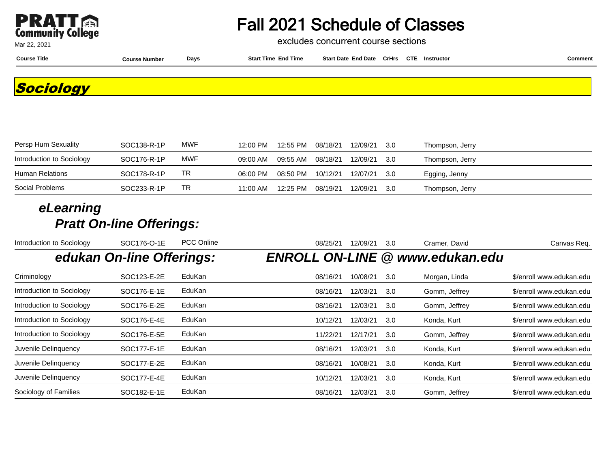

excludes concurrent course sections

**Course Title Course Number Days Start Time End Time Start Date End Date CrHrs Instructor Comment CTE**

**Sociology**

| Persp Hum Sexuality       | SOC138-R-1P | <b>MWF</b> | 12:00 PM | 12:55 PM | 08/18/21 | 12/09/21 | -3.0 | Thompson, Jerry |  |
|---------------------------|-------------|------------|----------|----------|----------|----------|------|-----------------|--|
| Introduction to Sociology | SOC176-R-1P | MWF        | 09:00 AM | 09:55 AM | 08/18/21 | 12/09/21 | -3.0 | Thompson, Jerry |  |
| Human Relations           | SOC178-R-1P | TR         | 06:00 PM | 08:50 PM | 10/12/21 | 12/07/21 | -3.0 | Egging, Jenny   |  |
| Social Problems           | SOC233-R-1P | <b>TR</b>  | 11:00 AM | 12:25 PM | 08/19/21 | 12/09/21 | -3.0 | Thompson, Jerry |  |

| Introduction to Sociology | SOC176-O-1E               | <b>PCC Online</b> | 08/25/21 | 12/09/21 | 3.0 | Cramer, David                          | Canvas Req.              |
|---------------------------|---------------------------|-------------------|----------|----------|-----|----------------------------------------|--------------------------|
|                           | edukan On-line Offerings: |                   |          |          |     | <b>ENROLL ON-LINE @ www.edukan.edu</b> |                          |
| Criminology               | SOC123-E-2E               | EduKan            | 08/16/21 | 10/08/21 | 3.0 | Morgan, Linda                          | \$/enroll www.edukan.edu |
| Introduction to Sociology | SOC176-E-1E               | EduKan            | 08/16/21 | 12/03/21 | 3.0 | Gomm, Jeffrey                          | \$/enroll www.edukan.edu |
| Introduction to Sociology | SOC176-E-2E               | EduKan            | 08/16/21 | 12/03/21 | 3.0 | Gomm, Jeffrey                          | \$/enroll www.edukan.edu |
| Introduction to Sociology | SOC176-E-4E               | EduKan            | 10/12/21 | 12/03/21 | 3.0 | Konda, Kurt                            | \$/enroll www.edukan.edu |
| Introduction to Sociology | SOC176-E-5E               | EduKan            | 11/22/21 | 12/17/21 | 3.0 | Gomm, Jeffrey                          | \$/enroll www.edukan.edu |
| Juvenile Delinguency      | SOC177-E-1E               | EduKan            | 08/16/21 | 12/03/21 | 3.0 | Konda, Kurt                            | \$/enroll www.edukan.edu |
| Juvenile Delinquency      | SOC177-E-2E               | EduKan            | 08/16/21 | 10/08/21 | 3.0 | Konda, Kurt                            | \$/enroll www.edukan.edu |
| Juvenile Delinguency      | SOC177-E-4E               | EduKan            | 10/12/21 | 12/03/21 | 3.0 | Konda, Kurt                            | \$/enroll www.edukan.edu |
| Sociology of Families     | SOC182-E-1E               | EduKan            | 08/16/21 | 12/03/21 | 3.0 | Gomm, Jeffrey                          | \$/enroll www.edukan.edu |